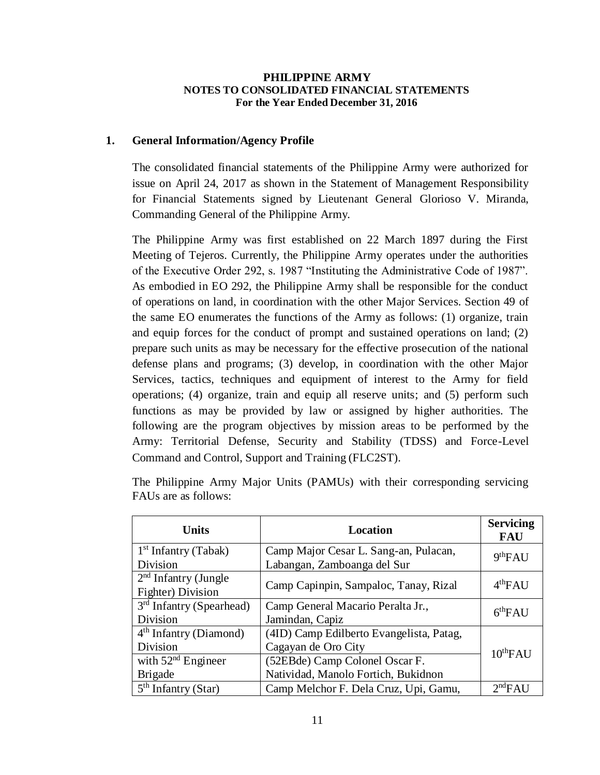#### **PHILIPPINE ARMY NOTES TO CONSOLIDATED FINANCIAL STATEMENTS For the Year Ended December 31, 2016**

### **1. General Information/Agency Profile**

The consolidated financial statements of the Philippine Army were authorized for issue on April 24, 2017 as shown in the Statement of Management Responsibility for Financial Statements signed by Lieutenant General Glorioso V. Miranda, Commanding General of the Philippine Army.

The Philippine Army was first established on 22 March 1897 during the First Meeting of Tejeros. Currently, the Philippine Army operates under the authorities of the Executive Order 292, s. 1987 "Instituting the Administrative Code of 1987". As embodied in EO 292, the Philippine Army shall be responsible for the conduct of operations on land, in coordination with the other Major Services. Section 49 of the same EO enumerates the functions of the Army as follows: (1) organize, train and equip forces for the conduct of prompt and sustained operations on land; (2) prepare such units as may be necessary for the effective prosecution of the national defense plans and programs; (3) develop, in coordination with the other Major Services, tactics, techniques and equipment of interest to the Army for field operations; (4) organize, train and equip all reserve units; and (5) perform such functions as may be provided by law or assigned by higher authorities. The following are the program objectives by mission areas to be performed by the Army: Territorial Defense, Security and Stability (TDSS) and Force-Level Command and Control, Support and Training (FLC2ST).

| <b>Units</b>               | <b>Location</b>                          | <b>Servicing</b><br><b>FAU</b> |
|----------------------------|------------------------------------------|--------------------------------|
| $1st$ Infantry (Tabak)     | Camp Major Cesar L. Sang-an, Pulacan,    | 9 <sup>th</sup> FAU            |
| Division                   | Labangan, Zamboanga del Sur              |                                |
| $2nd$ Infantry (Jungle     | Camp Capinpin, Sampaloc, Tanay, Rizal    | 4 <sup>th</sup> FAU            |
| Fighter) Division          |                                          |                                |
| $3rd$ Infantry (Spearhead) | Camp General Macario Peralta Jr.,        | 6 <sup>th</sup> FAU            |
| Division                   | Jamindan, Capiz                          |                                |
| $4th$ Infantry (Diamond)   | (4ID) Camp Edilberto Evangelista, Patag, |                                |
| Division                   | Cagayan de Oro City                      | $10^{th}$ FAU                  |
| with $52nd$ Engineer       | (52EBde) Camp Colonel Oscar F.           |                                |
| <b>Brigade</b>             | Natividad, Manolo Fortich, Bukidnon      |                                |
| $5th$ Infantry (Star)      | Camp Melchor F. Dela Cruz, Upi, Gamu,    | 2 <sup>nd</sup> FAU            |

The Philippine Army Major Units (PAMUs) with their corresponding servicing FAUs are as follows: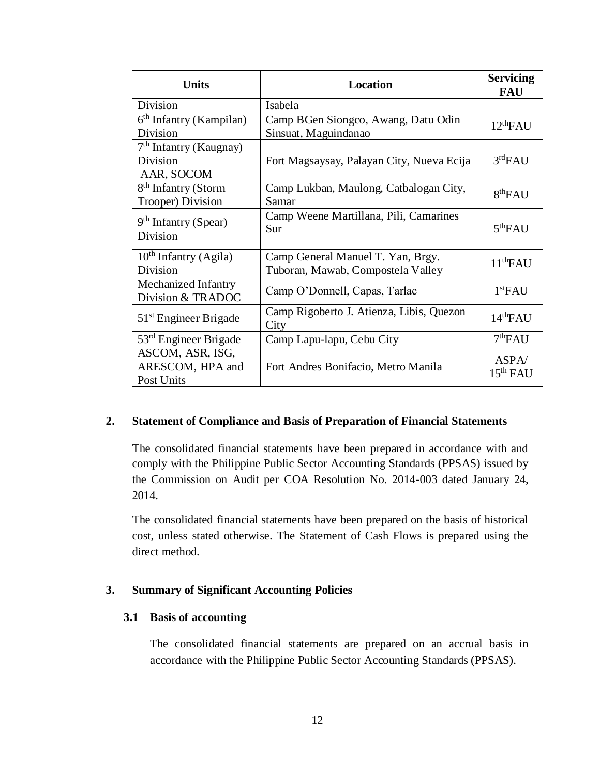| <b>Units</b>                                         | <b>Location</b>                                                        | <b>Servicing</b><br><b>FAU</b> |
|------------------------------------------------------|------------------------------------------------------------------------|--------------------------------|
| <b>Division</b>                                      | Isabela                                                                |                                |
| $6th$ Infantry (Kampilan)<br>Division                | Camp BGen Siongco, Awang, Datu Odin<br>Sinsuat, Maguindanao            | 12 <sup>th</sup> FAU           |
| $7th$ Infantry (Kaugnay)<br>Division<br>AAR, SOCOM   | Fort Magsaysay, Palayan City, Nueva Ecija                              | 3 <sup>rd</sup> FAU            |
| 8 <sup>th</sup> Infantry (Storm<br>Trooper) Division | Camp Lukban, Maulong, Catbalogan City,<br>Samar                        | 8 <sup>th</sup> FAU            |
| $9th$ Infantry (Spear)<br>Division                   | Camp Weene Martillana, Pili, Camarines<br>Sur                          | 5 <sup>th</sup> FAU            |
| $10th$ Infantry (Agila)<br>Division                  | Camp General Manuel T. Yan, Brgy.<br>Tuboran, Mawab, Compostela Valley | 11 <sup>th</sup> FAU           |
| Mechanized Infantry<br>Division & TRADOC             | Camp O'Donnell, Capas, Tarlac                                          | 1 <sup>st</sup> FAU            |
| $51st$ Engineer Brigade                              | Camp Rigoberto J. Atienza, Libis, Quezon<br>City                       | 14 <sup>th</sup> FAU           |
| $53rd$ Engineer Brigade                              | Camp Lapu-lapu, Cebu City                                              | 7 <sup>th</sup> FAU            |
| ASCOM, ASR, ISG,<br>ARESCOM, HPA and<br>Post Units   | Fort Andres Bonifacio, Metro Manila                                    | ASPA/<br>15 <sup>th</sup> FAU  |

#### **2. Statement of Compliance and Basis of Preparation of Financial Statements**

The consolidated financial statements have been prepared in accordance with and comply with the Philippine Public Sector Accounting Standards (PPSAS) issued by the Commission on Audit per COA Resolution No. 2014-003 dated January 24, 2014.

The consolidated financial statements have been prepared on the basis of historical cost, unless stated otherwise. The Statement of Cash Flows is prepared using the direct method.

#### **3. Summary of Significant Accounting Policies**

#### **3.1 Basis of accounting**

The consolidated financial statements are prepared on an accrual basis in accordance with the Philippine Public Sector Accounting Standards (PPSAS).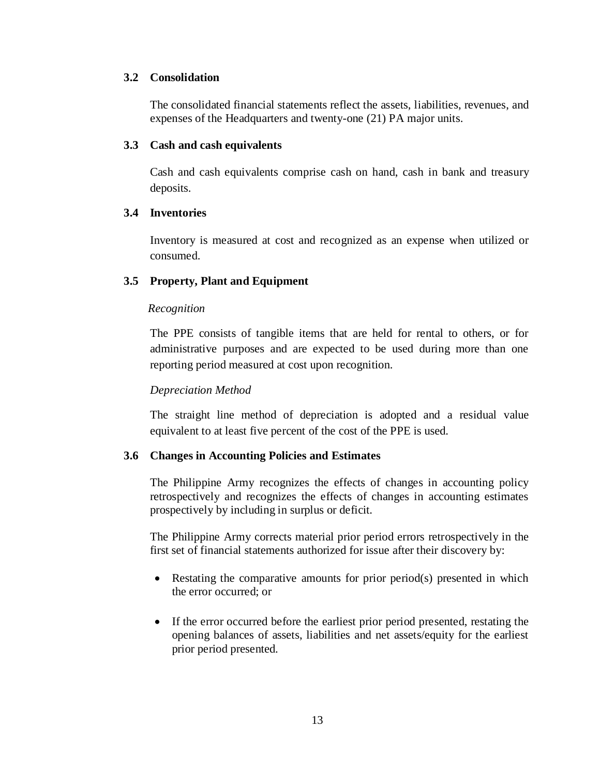### **3.2 Consolidation**

The consolidated financial statements reflect the assets, liabilities, revenues, and expenses of the Headquarters and twenty-one (21) PA major units.

#### **3.3 Cash and cash equivalents**

Cash and cash equivalents comprise cash on hand, cash in bank and treasury deposits.

### **3.4 Inventories**

Inventory is measured at cost and recognized as an expense when utilized or consumed.

### **3.5 Property, Plant and Equipment**

#### *Recognition*

The PPE consists of tangible items that are held for rental to others, or for administrative purposes and are expected to be used during more than one reporting period measured at cost upon recognition.

### *Depreciation Method*

The straight line method of depreciation is adopted and a residual value equivalent to at least five percent of the cost of the PPE is used.

### **3.6 Changes in Accounting Policies and Estimates**

The Philippine Army recognizes the effects of changes in accounting policy retrospectively and recognizes the effects of changes in accounting estimates prospectively by including in surplus or deficit.

The Philippine Army corrects material prior period errors retrospectively in the first set of financial statements authorized for issue after their discovery by:

- Restating the comparative amounts for prior period(s) presented in which the error occurred; or
- If the error occurred before the earliest prior period presented, restating the opening balances of assets, liabilities and net assets/equity for the earliest prior period presented.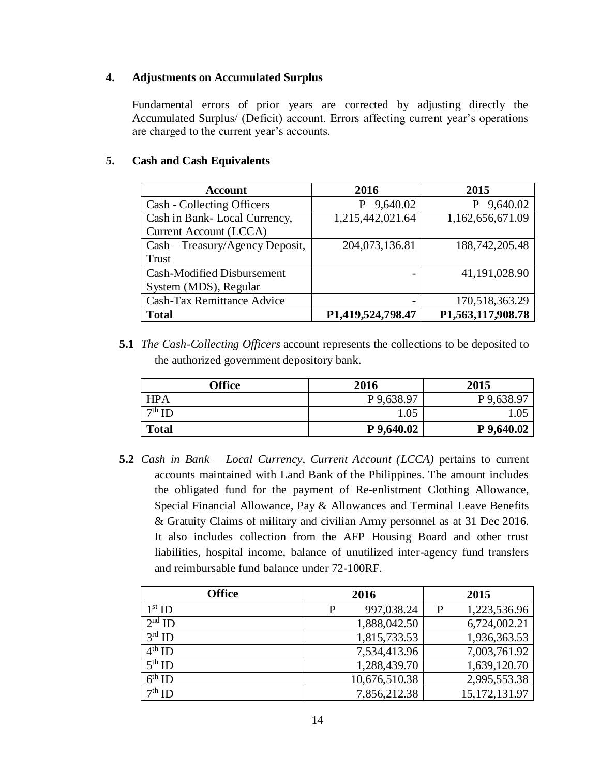### **4. Adjustments on Accumulated Surplus**

Fundamental errors of prior years are corrected by adjusting directly the Accumulated Surplus/ (Deficit) account. Errors affecting current year's operations are charged to the current year's accounts.

### **5. Cash and Cash Equivalents**

| <b>Account</b>                    | 2016              | 2015              |
|-----------------------------------|-------------------|-------------------|
| Cash - Collecting Officers        | 9,640.02<br>P     | P 9,640.02        |
| Cash in Bank-Local Currency,      | 1,215,442,021.64  | 1,162,656,671.09  |
| <b>Current Account (LCCA)</b>     |                   |                   |
| Cash – Treasury/Agency Deposit,   | 204,073,136.81    | 188,742,205.48    |
| Trust                             |                   |                   |
| Cash-Modified Disbursement        |                   | 41,191,028.90     |
| System (MDS), Regular             |                   |                   |
| <b>Cash-Tax Remittance Advice</b> |                   | 170,518,363.29    |
| <b>Total</b>                      | P1,419,524,798.47 | P1,563,117,908.78 |

**5.1** *The Cash-Collecting Officers* account represents the collections to be deposited to the authorized government depository bank*.*

| <b>Office</b> | 2016       | 2015       |
|---------------|------------|------------|
| <b>HPA</b>    | P 9,638.97 | P 9,638.97 |
| $7th$ ID      | 1.05       | .05        |
| <b>Total</b>  | P 9,640.02 | P 9,640.02 |

**5.2** *Cash in Bank – Local Currency, Current Account (LCCA)* pertains to current accounts maintained with Land Bank of the Philippines. The amount includes the obligated fund for the payment of Re-enlistment Clothing Allowance, Special Financial Allowance, Pay & Allowances and Terminal Leave Benefits & Gratuity Claims of military and civilian Army personnel as at 31 Dec 2016. It also includes collection from the AFP Housing Board and other trust liabilities, hospital income, balance of unutilized inter-agency fund transfers and reimbursable fund balance under 72-100RF.

| <b>Office</b> | 2016 |               |   | 2015            |
|---------------|------|---------------|---|-----------------|
| $1st$ ID      | P    | 997,038.24    | P | 1,223,536.96    |
| $2nd$ ID      |      | 1,888,042.50  |   | 6,724,002.21    |
| $3rd$ ID      |      | 1,815,733.53  |   | 1,936,363.53    |
| $4th$ ID      |      | 7,534,413.96  |   | 7,003,761.92    |
| $5th$ ID      |      | 1,288,439.70  |   | 1,639,120.70    |
| $6th$ ID      |      | 10,676,510.38 |   | 2,995,553.38    |
| $7th$ ID      |      | 7,856,212.38  |   | 15, 172, 131.97 |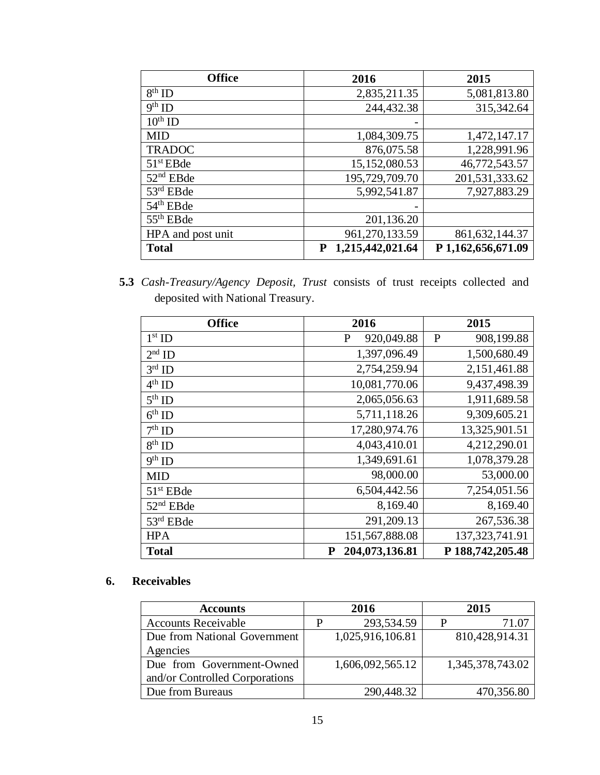| <b>Office</b>         | 2016                  | 2015               |
|-----------------------|-----------------------|--------------------|
| $8th$ ID              | 2,835,211.35          | 5,081,813.80       |
| $9th$ ID              | 244,432.38            | 315,342.64         |
| $10^{\text{th}}$ ID   |                       |                    |
| <b>MID</b>            | 1,084,309.75          | 1,472,147.17       |
| <b>TRADOC</b>         | 876,075.58            | 1,228,991.96       |
| $51st$ EBde           | 15,152,080.53         | 46,772,543.57      |
| $52nd$ EBde           | 195,729,709.70        | 201,531,333.62     |
| $53rd$ EBde           | 5,992,541.87          | 7,927,883.29       |
| 54 <sup>th</sup> EBde |                       |                    |
| $55th$ EBde           | 201,136.20            |                    |
| HPA and post unit     | 961,270,133.59        | 861, 632, 144. 37  |
| <b>Total</b>          | 1,215,442,021.64<br>P | P 1,162,656,671.09 |

**5.3** *Cash-Treasury/Agency Deposit, Trust* consists of trust receipts collected and deposited with National Treasury.

| <b>Office</b>      | 2016                        | 2015              |
|--------------------|-----------------------------|-------------------|
| $1st$ ID           | 920,049.88<br>P             | P<br>908,199.88   |
| $2nd$ ID           | 1,397,096.49                | 1,500,680.49      |
| $3rd$ ID           | 2,754,259.94                | 2,151,461.88      |
| $4^{\text{th}}$ ID | 10,081,770.06               | 9,437,498.39      |
| $5th$ ID           | 2,065,056.63                | 1,911,689.58      |
| $6th$ ID           | 5,711,118.26                | 9,309,605.21      |
| $7th$ ID           | 17,280,974.76               | 13,325,901.51     |
| $8^{\text{th}}$ ID | 4,043,410.01                | 4,212,290.01      |
| $9th$ ID           | 1,349,691.61                | 1,078,379.28      |
| <b>MID</b>         | 98,000.00                   | 53,000.00         |
| $51st$ EBde        | 6,504,442.56                | 7,254,051.56      |
| $52nd$ EBde        | 8,169.40                    | 8,169.40          |
| $53rd$ EBde        | 291,209.13                  | 267,536.38        |
| <b>HPA</b>         | 151,567,888.08              | 137, 323, 741. 91 |
| <b>Total</b>       | 204,073,136.81<br>${\bf P}$ | P 188,742,205.48  |

# **6. Receivables**

| <b>Accounts</b>                |   | 2016             |   | 2015             |
|--------------------------------|---|------------------|---|------------------|
| <b>Accounts Receivable</b>     | P | 293,534.59       | P | 71.07            |
| Due from National Government   |   | 1,025,916,106.81 |   | 810,428,914.31   |
| Agencies                       |   |                  |   |                  |
| Due from Government-Owned      |   | 1,606,092,565.12 |   | 1,345,378,743.02 |
| and/or Controlled Corporations |   |                  |   |                  |
| Due from Bureaus               |   | 290,448.32       |   | 470,356.80       |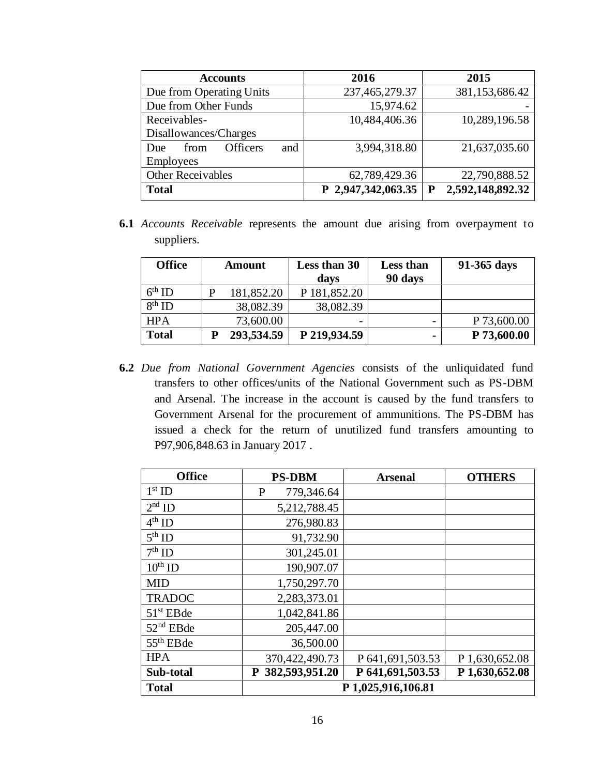| <b>Accounts</b>                       | 2016               | 2015             |
|---------------------------------------|--------------------|------------------|
| Due from Operating Units              | 237,465,279.37     | 381,153,686.42   |
| Due from Other Funds                  | 15,974.62          |                  |
| Receivables-                          | 10,484,406.36      | 10,289,196.58    |
| Disallowances/Charges                 |                    |                  |
| <b>Officers</b><br>from<br>and<br>Due | 3,994,318.80       | 21,637,035.60    |
| Employees                             |                    |                  |
| <b>Other Receivables</b>              | 62,789,429.36      | 22,790,888.52    |
| <b>Total</b>                          | P 2,947,342,063.35 | 2,592,148,892.32 |

**6.1** *Accounts Receivable* represents the amount due arising from overpayment to suppliers.

| <b>Office</b>      | <b>Amount</b> | Less than 30<br>days | <b>Less than</b><br>90 days | 91-365 days |
|--------------------|---------------|----------------------|-----------------------------|-------------|
| $6^{\text{th}}$ ID | 181,852.20    | P 181,852.20         |                             |             |
| $8th$ ID           | 38,082.39     | 38,082.39            |                             |             |
| <b>HPA</b>         | 73,600.00     |                      |                             | P 73,600.00 |
| <b>Total</b>       | 293,534.59    | P 219,934.59         |                             | P 73,600.00 |

**6.2** *Due from National Government Agencies* consists of the unliquidated fund transfers to other offices/units of the National Government such as PS-DBM and Arsenal. The increase in the account is caused by the fund transfers to Government Arsenal for the procurement of ammunitions. The PS-DBM has issued a check for the return of unutilized fund transfers amounting to P97,906,848.63 in January 2017 .

| <b>Office</b>      | <b>PS-DBM</b>               | <b>Arsenal</b>      | <b>OTHERS</b>  |
|--------------------|-----------------------------|---------------------|----------------|
| $1st$ ID           | $\mathbf{P}$<br>779,346.64  |                     |                |
| $2nd$ ID           | 5,212,788.45                |                     |                |
| $4^{\text{th}}$ ID | 276,980.83                  |                     |                |
| $5th$ ID           | 91,732.90                   |                     |                |
| $7th$ ID           | 301,245.01                  |                     |                |
| $10^{th}$ ID       | 190,907.07                  |                     |                |
| <b>MID</b>         | 1,750,297.70                |                     |                |
| <b>TRADOC</b>      | 2,283,373.01                |                     |                |
| $51st$ EBde        | 1,042,841.86                |                     |                |
| $52nd$ EBde        | 205,447.00                  |                     |                |
| $55th$ EBde        | 36,500.00                   |                     |                |
| <b>HPA</b>         | 370,422,490.73              | P 641, 691, 503. 53 | P 1,630,652.08 |
| Sub-total          | 382,593,951.20<br>${\bf P}$ | P 641,691,503.53    | P 1,630,652.08 |
| <b>Total</b>       |                             | P 1,025,916,106.81  |                |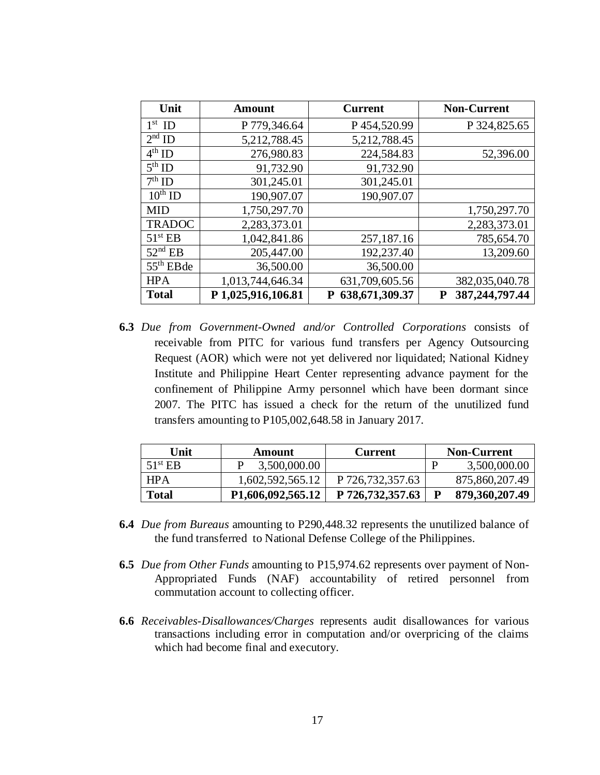| Unit                | <b>Amount</b>      | <b>Current</b>         | <b>Non-Current</b>  |
|---------------------|--------------------|------------------------|---------------------|
| $1st$ ID            | P 779,346.64       | P454,520.99            | P 324,825.65        |
| $2nd$ ID            | 5,212,788.45       | 5,212,788.45           |                     |
| $4th$ ID            | 276,980.83         | 224,584.83             | 52,396.00           |
| $5th$ ID            | 91,732.90          | 91,732.90              |                     |
| $7th$ ID            | 301,245.01         | 301,245.01             |                     |
| $10^{th}$ ID        | 190,907.07         | 190,907.07             |                     |
| <b>MID</b>          | 1,750,297.70       |                        | 1,750,297.70        |
| <b>TRADOC</b>       | 2,283,373.01       |                        | 2,283,373.01        |
| 51 <sup>st</sup> EB | 1,042,841.86       | 257,187.16             | 785,654.70          |
| $52nd$ EB           | 205,447.00         | 192,237.40             | 13,209.60           |
| $55th$ EBde         | 36,500.00          | 36,500.00              |                     |
| <b>HPA</b>          | 1,013,744,646.34   | 631,709,605.56         | 382,035,040.78      |
| <b>Total</b>        | P 1,025,916,106.81 | 638, 671, 309. 37<br>P | 387,244,797.44<br>P |

**6.3** *Due from Government-Owned and/or Controlled Corporations* consists of receivable from PITC for various fund transfers per Agency Outsourcing Request (AOR) which were not yet delivered nor liquidated; National Kidney Institute and Philippine Heart Center representing advance payment for the confinement of Philippine Army personnel which have been dormant since 2007. The PITC has issued a check for the return of the unutilized fund transfers amounting to P105,002,648.58 in January 2017*.*

| Unit             | Amount            | <b>Current</b>     | <b>Non-Current</b> |
|------------------|-------------------|--------------------|--------------------|
| $51^{\rm st}$ EB | 3,500,000.00      |                    | 3,500,000.00       |
| <b>HPA</b>       | 1,602,592,565.12  | P 726, 732, 357.63 | 875,860,207.49     |
| <b>Total</b>     | P1,606,092,565.12 | P 726,732,357.63   | 879,360,207.49     |

- **6.4** *Due from Bureaus* amounting to P290,448.32 represents the unutilized balance of the fund transferred to National Defense College of the Philippines.
- **6.5** *Due from Other Funds* amounting to P15,974.62 represents over payment of Non-Appropriated Funds (NAF) accountability of retired personnel from commutation account to collecting officer.
- **6.6** *Receivables-Disallowances/Charges* represents audit disallowances for various transactions including error in computation and/or overpricing of the claims which had become final and executory.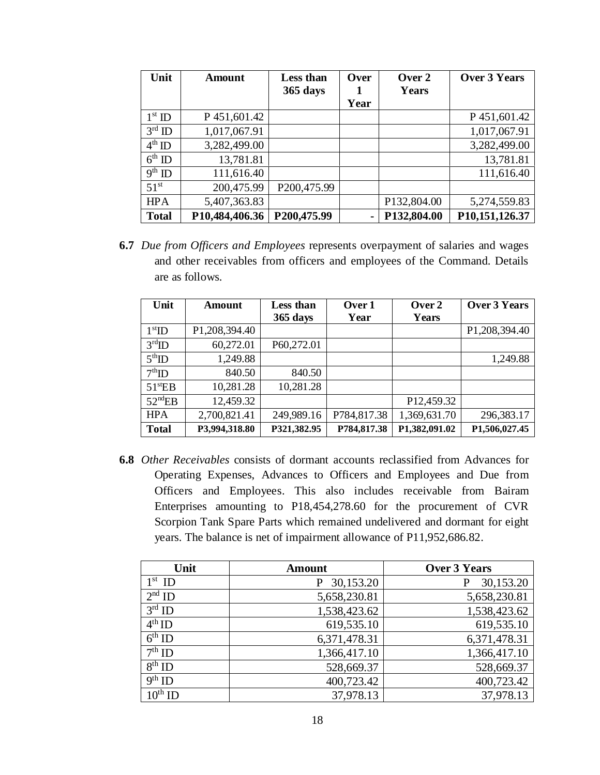| Unit               | <b>Amount</b>  | <b>Less than</b><br>365 days | Over | Over 2<br>Years | <b>Over 3 Years</b> |
|--------------------|----------------|------------------------------|------|-----------------|---------------------|
|                    |                |                              | Year |                 |                     |
| $1st$ ID           | P 451,601.42   |                              |      |                 | P 451,601.42        |
| $3^{\rm rd}$ ID    | 1,017,067.91   |                              |      |                 | 1,017,067.91        |
| $4^{th}$ ID        | 3,282,499.00   |                              |      |                 | 3,282,499.00        |
| $6^{\text{th}}$ ID | 13,781.81      |                              |      |                 | 13,781.81           |
| $9th$ ID           | 111,616.40     |                              |      |                 | 111,616.40          |
| 51 <sup>st</sup>   | 200,475.99     | P200,475.99                  |      |                 |                     |
| <b>HPA</b>         | 5,407,363.83   |                              |      | P132,804.00     | 5,274,559.83        |
| <b>Total</b>       | P10,484,406.36 | P200,475.99                  |      | P132,804.00     | P10,151,126.37      |

**6.7** *Due from Officers and Employees* represents overpayment of salaries and wages and other receivables from officers and employees of the Command. Details are as follows.

| Unit                    | <b>Amount</b> | Less than   | Over 1      | Over 2        | <b>Over 3 Years</b> |
|-------------------------|---------------|-------------|-------------|---------------|---------------------|
|                         |               | 365 days    | Year        | <b>Years</b>  |                     |
| $1st$ ID                | P1,208,394.40 |             |             |               | P1,208,394.40       |
| $3^{\text{rd}}$ ID      | 60,272.01     | P60,272.01  |             |               |                     |
| $5^{\text{th}}$ ID      | 1,249.88      |             |             |               | 1,249.88            |
| $7th$ ID                | 840.50        | 840.50      |             |               |                     |
| $51$ <sup>st</sup> $EB$ | 10,281.28     | 10,281.28   |             |               |                     |
| $52^{\text{nd}}EB$      | 12,459.32     |             |             | P12,459.32    |                     |
| <b>HPA</b>              | 2,700,821.41  | 249,989.16  | P784,817.38 | 1,369,631.70  | 296,383.17          |
| <b>Total</b>            | P3,994,318.80 | P321,382.95 | P784,817.38 | P1,382,091.02 | P1,506,027.45       |

**6.8** *Other Receivables* consists of dormant accounts reclassified from Advances for Operating Expenses, Advances to Officers and Employees and Due from Officers and Employees. This also includes receivable from Bairam Enterprises amounting to P18,454,278.60 for the procurement of CVR Scorpion Tank Spare Parts which remained undelivered and dormant for eight years. The balance is net of impairment allowance of P11,952,686.82.

| Unit         | <b>Amount</b> | <b>Over 3 Years</b> |
|--------------|---------------|---------------------|
| $1st$ ID     | 30,153.20     | 30,153.20           |
| $2nd$ ID     | 5,658,230.81  | 5,658,230.81        |
| $3rd$ ID     | 1,538,423.62  | 1,538,423.62        |
| $4^{th}$ ID  | 619,535.10    | 619,535.10          |
| $6th$ ID     | 6,371,478.31  | 6,371,478.31        |
| $7th$ ID     | 1,366,417.10  | 1,366,417.10        |
| $8^{th}$ ID  | 528,669.37    | 528,669.37          |
| $9th$ ID     | 400,723.42    | 400,723.42          |
| $10^{th}$ ID | 37,978.13     | 37,978.13           |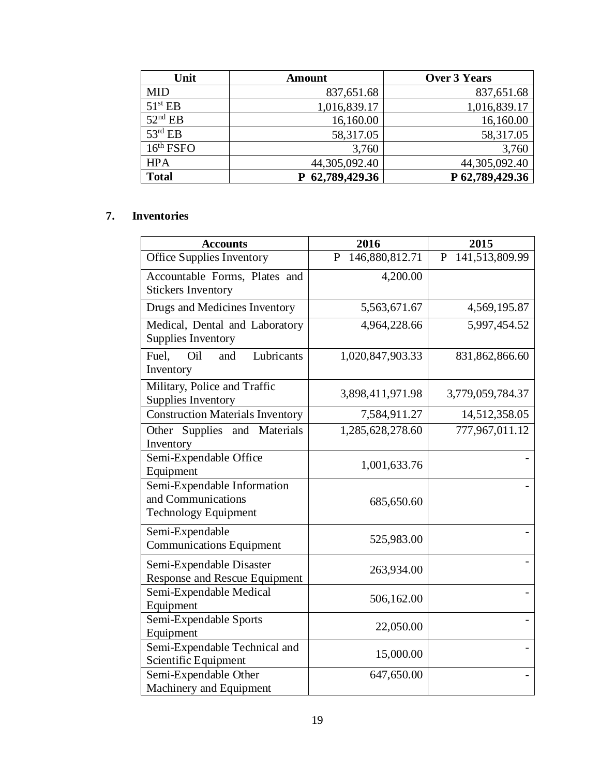| Unit                  | <b>Amount</b> | <b>Over 3 Years</b> |
|-----------------------|---------------|---------------------|
| <b>MID</b>            | 837,651.68    | 837,651.68          |
| 51 <sup>st</sup> EB   | 1,016,839.17  | 1,016,839.17        |
| $52nd$ EB             | 16,160.00     | 16,160.00           |
| $53^{\text{rd}}$ EB   | 58,317.05     | 58,317.05           |
| 16 <sup>th</sup> FSPO | 3,760         | 3,760               |
| <b>HPA</b>            | 44,305,092.40 | 44,305,092.40       |
| <b>Total</b>          | 62,789,429.36 | P 62,789,429.36     |

### **7. Inventories**

| <b>Accounts</b>                                                      | 2016                           | 2015                |
|----------------------------------------------------------------------|--------------------------------|---------------------|
| <b>Office Supplies Inventory</b>                                     | 146,880,812.71<br>$\mathbf{P}$ | 141,513,809.99<br>P |
| Accountable Forms, Plates and                                        | 4,200.00                       |                     |
| <b>Stickers Inventory</b>                                            |                                |                     |
| Drugs and Medicines Inventory                                        | 5,563,671.67                   | 4,569,195.87        |
| Medical, Dental and Laboratory                                       | 4,964,228.66                   | 5,997,454.52        |
| <b>Supplies Inventory</b>                                            |                                |                     |
| Fuel,<br>Oil<br>and<br>Lubricants                                    | 1,020,847,903.33               | 831,862,866.60      |
| Inventory                                                            |                                |                     |
| Military, Police and Traffic                                         | 3,898,411,971.98               | 3,779,059,784.37    |
| <b>Supplies Inventory</b><br><b>Construction Materials Inventory</b> | 7,584,911.27                   | 14,512,358.05       |
|                                                                      |                                |                     |
| Other Supplies and<br>Materials<br>Inventory                         | 1,285,628,278.60               | 777,967,011.12      |
| Semi-Expendable Office                                               |                                |                     |
| Equipment                                                            | 1,001,633.76                   |                     |
| Semi-Expendable Information                                          |                                |                     |
| and Communications                                                   | 685,650.60                     |                     |
| <b>Technology Equipment</b>                                          |                                |                     |
| Semi-Expendable                                                      |                                |                     |
| <b>Communications Equipment</b>                                      | 525,983.00                     |                     |
| Semi-Expendable Disaster                                             | 263,934.00                     |                     |
| Response and Rescue Equipment                                        |                                |                     |
| Semi-Expendable Medical                                              | 506,162.00                     |                     |
| Equipment                                                            |                                |                     |
| Semi-Expendable Sports                                               | 22,050.00                      |                     |
| Equipment                                                            |                                |                     |
| Semi-Expendable Technical and                                        | 15,000.00                      |                     |
| Scientific Equipment                                                 |                                |                     |
| Semi-Expendable Other                                                | 647,650.00                     |                     |
| Machinery and Equipment                                              |                                |                     |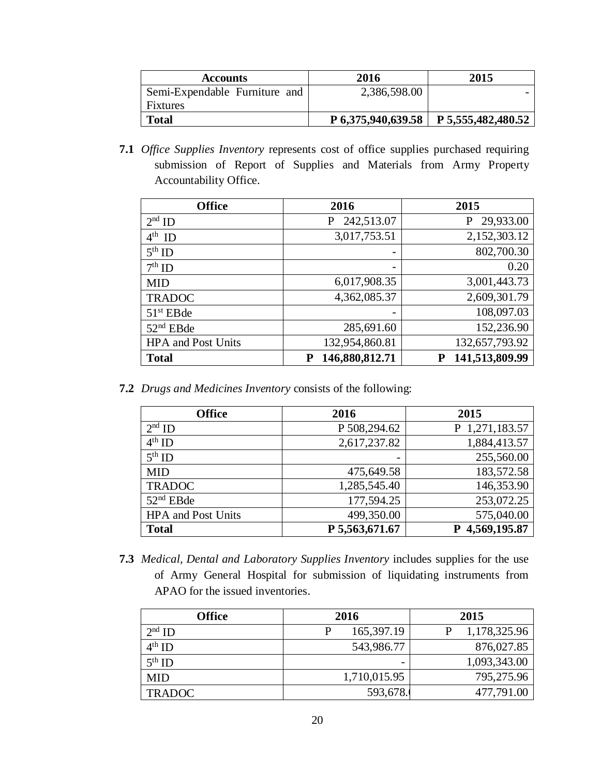| <b>Accounts</b>               | 2016         | 2015                                      |
|-------------------------------|--------------|-------------------------------------------|
| Semi-Expendable Furniture and | 2,386,598.00 |                                           |
| <b>Fixtures</b>               |              |                                           |
| <b>Total</b>                  |              | $P$ 6,375,940,639.58   P 5,555,482,480.52 |

**7.1** *Office Supplies Inventory* represents cost of office supplies purchased requiring submission of Report of Supplies and Materials from Army Property Accountability Office.

| <b>Office</b>             | 2016                     | 2015           |
|---------------------------|--------------------------|----------------|
| $2nd$ ID                  | 242,513.07<br>P          | 29,933.00<br>P |
| $4^{\text{th}}$ ID        | 3,017,753.51             | 2,152,303.12   |
| $5th$ ID                  | $\overline{\phantom{0}}$ | 802,700.30     |
| $7th$ ID                  | $\overline{\phantom{0}}$ | 0.20           |
| <b>MID</b>                | 6,017,908.35             | 3,001,443.73   |
| <b>TRADOC</b>             | 4,362,085.37             | 2,609,301.79   |
| $51st$ EBde               | $\overline{\phantom{0}}$ | 108,097.03     |
| $52nd$ EBde               | 285,691.60               | 152,236.90     |
| <b>HPA</b> and Post Units | 132,954,860.81           | 132,657,793.92 |
| <b>Total</b>              | 146,880,812.71<br>P      | 141,513,809.99 |

**7.2** *Drugs and Medicines Inventory* consists of the following:

| <b>Office</b>             | 2016                     | 2015               |
|---------------------------|--------------------------|--------------------|
| $2nd$ ID                  | P 508,294.62             | 1,271,183.57<br>P. |
| $4th$ ID                  | 2,617,237.82             | 1,884,413.57       |
| $5th$ ID                  | $\overline{\phantom{0}}$ | 255,560.00         |
| <b>MID</b>                | 475,649.58               | 183,572.58         |
| <b>TRADOC</b>             | 1,285,545.40             | 146,353.90         |
| $52nd$ EBde               | 177,594.25               | 253,072.25         |
| <b>HPA</b> and Post Units | 499,350.00               | 575,040.00         |
| <b>Total</b>              | P 5,563,671.67           | 4,569,195.87       |

**7.3** *Medical, Dental and Laboratory Supplies Inventory* includes supplies for the use of Army General Hospital for submission of liquidating instruments from APAO for the issued inventories.

| <b>Office</b>      | 2016              | 2015         |
|--------------------|-------------------|--------------|
| $2nd$ ID           | 165, 397. 19<br>P | 1,178,325.96 |
| $4^{\text{th}}$ ID | 543,986.77        | 876,027.85   |
| $5^{\text{th}}$ ID |                   | 1,093,343.00 |
| <b>MID</b>         | 1,710,015.95      | 795,275.96   |
| <b>TRADOC</b>      | 593,678.          | 477,791.00   |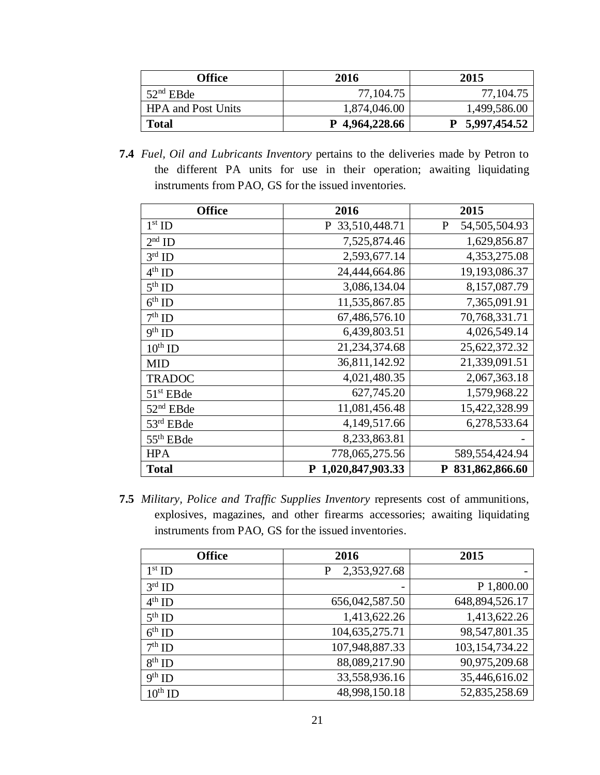| Office                    | 2016           | 2015           |
|---------------------------|----------------|----------------|
| $52nd$ EBde               | 77, 104.75     | 77, 104.75     |
| <b>HPA</b> and Post Units | 1,874,046.00   | 1,499,586.00   |
| <b>Total</b>              | P 4,964,228.66 | P 5,997,454.52 |

**7.4** *Fuel, Oil and Lubricants Inventory* pertains to the deliveries made by Petron to the different PA units for use in their operation; awaiting liquidating instruments from PAO, GS for the issued inventories.

| <b>Office</b>         | 2016               | 2015               |
|-----------------------|--------------------|--------------------|
| $1st$ ID              | P 33,510,448.71    | 54,505,504.93<br>P |
| $2nd$ ID              | 7,525,874.46       | 1,629,856.87       |
| $3rd$ ID              | 2,593,677.14       | 4,353,275.08       |
| $4^{\text{th}}$ ID    | 24,444,664.86      | 19,193,086.37      |
| $5th$ ID              | 3,086,134.04       | 8,157,087.79       |
| $6^{\text{th}}$ ID    | 11,535,867.85      | 7,365,091.91       |
| $7th$ ID              | 67,486,576.10      | 70,768,331.71      |
| $9^{\text{th}}$ ID    | 6,439,803.51       | 4,026,549.14       |
| $10^{\text{th}}$ ID   | 21, 234, 374. 68   | 25,622,372.32      |
| <b>MID</b>            | 36,811,142.92      | 21,339,091.51      |
| <b>TRADOC</b>         | 4,021,480.35       | 2,067,363.18       |
| $51st$ EBde           | 627,745.20         | 1,579,968.22       |
| $52nd$ EBde           | 11,081,456.48      | 15,422,328.99      |
| 53rd EBde             | 4,149,517.66       | 6,278,533.64       |
| 55 <sup>th</sup> EBde | 8,233,863.81       |                    |
| <b>HPA</b>            | 778,065,275.56     | 589,554,424.94     |
| <b>Total</b>          | P 1,020,847,903.33 | P 831,862,866.60   |

**7.5** *Military, Police and Traffic Supplies Inventory* represents cost of ammunitions, explosives, magazines, and other firearms accessories; awaiting liquidating instruments from PAO, GS for the issued inventories.

| <b>Office</b>      | 2016              | 2015              |
|--------------------|-------------------|-------------------|
| $1st$ ID           | 2,353,927.68<br>P |                   |
| $3rd$ ID           |                   | P 1,800.00        |
| $4th$ ID           | 656,042,587.50    | 648,894,526.17    |
| $5th$ ID           | 1,413,622.26      | 1,413,622.26      |
| $6^{\text{th}}$ ID | 104,635,275.71    | 98,547,801.35     |
| $7th$ ID           | 107,948,887.33    | 103, 154, 734. 22 |
| $8th$ ID           | 88,089,217.90     | 90,975,209.68     |
| $9th$ ID           | 33,558,936.16     | 35,446,616.02     |
| $10^{\rm th}$ ID   | 48,998,150.18     | 52,835,258.69     |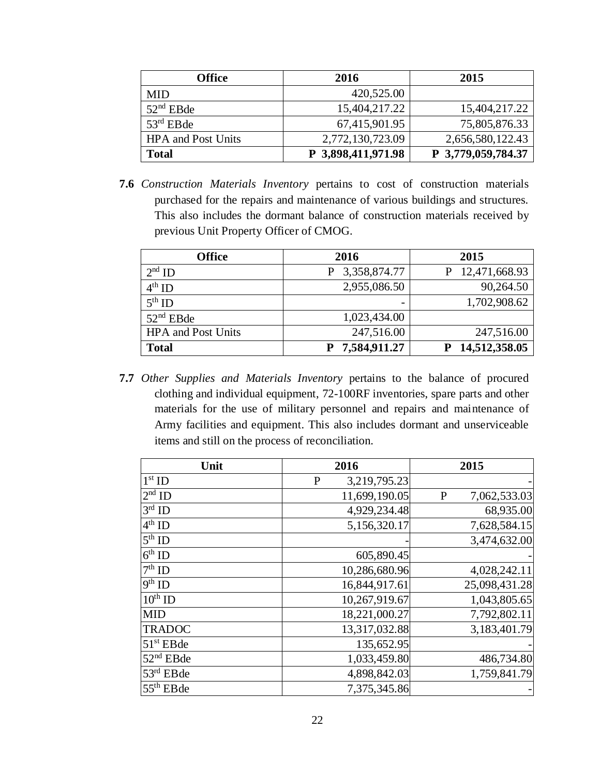| Office                    | 2016               | 2015               |  |
|---------------------------|--------------------|--------------------|--|
| <b>MID</b>                | 420,525.00         |                    |  |
| $52nd$ EBde               | 15,404,217.22      | 15,404,217.22      |  |
| $53rd$ EBde               | 67,415,901.95      | 75,805,876.33      |  |
| <b>HPA</b> and Post Units | 2,772,130,723.09   | 2,656,580,122.43   |  |
| <b>Total</b>              | P 3,898,411,971.98 | P 3,779,059,784.37 |  |

**7.6** *Construction Materials Inventory* pertains to cost of construction materials purchased for the repairs and maintenance of various buildings and structures. This also includes the dormant balance of construction materials received by previous Unit Property Officer of CMOG.

| <b>Office</b>             | 2016         | 2015          |  |
|---------------------------|--------------|---------------|--|
| $2nd$ ID                  | 3,358,874.77 | 12,471,668.93 |  |
| $4^{th}$ ID               | 2,955,086.50 | 90,264.50     |  |
| $5th$ ID                  |              | 1,702,908.62  |  |
| $52nd$ EBde               | 1,023,434.00 |               |  |
| <b>HPA</b> and Post Units | 247,516.00   | 247,516.00    |  |
| <b>Total</b>              | 7,584,911.27 | 14,512,358.05 |  |

**7.7** *Other Supplies and Materials Inventory* pertains to the balance of procured clothing and individual equipment, 72-100RF inventories, spare parts and other materials for the use of military personnel and repairs and maintenance of Army facilities and equipment. This also includes dormant and unserviceable items and still on the process of reconciliation.

| Unit                   | 2016                         | 2015                         |
|------------------------|------------------------------|------------------------------|
| $1st$ ID               | 3,219,795.23<br>$\mathbf{P}$ |                              |
| $2nd$ ID               | 11,699,190.05                | 7,062,533.03<br>$\mathbf{P}$ |
| $3rd$ ID               | 4,929,234.48                 | 68,935.00                    |
| $4th$ ID               | 5,156,320.17                 | 7,628,584.15                 |
| $5th$ ID               |                              | 3,474,632.00                 |
| $6th$ ID               | 605,890.45                   |                              |
| $\overline{7^{th}}$ ID | 10,286,680.96                | 4,028,242.11                 |
| $\overline{9^{th}}$ ID | 16,844,917.61                | 25,098,431.28                |
| $10^{th}$ ID           | 10,267,919.67                | 1,043,805.65                 |
| <b>MID</b>             | 18,221,000.27                | 7,792,802.11                 |
| <b>TRADOC</b>          | 13,317,032.88                | 3,183,401.79                 |
| $51st$ EBde            | 135,652.95                   |                              |
| $52nd$ EBde            | 1,033,459.80                 | 486,734.80                   |
| $53rd$ EBde            | 4,898,842.03                 | 1,759,841.79                 |
| $55th$ EBde            | 7,375,345.86                 |                              |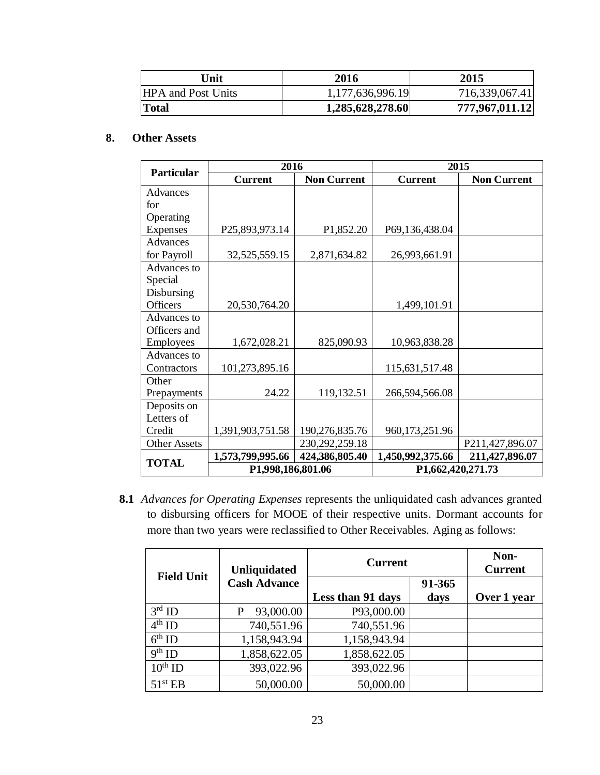| Unit                      | 2016             | 2015           |
|---------------------------|------------------|----------------|
| <b>HPA</b> and Post Units | 1,177,636,996.19 | 716,339,067.41 |
| Total                     | 1,285,628,278.60 | 777,967,011.12 |

#### **8. Other Assets**

|                     | 2016              |                    | 2015              |                    |
|---------------------|-------------------|--------------------|-------------------|--------------------|
| <b>Particular</b>   | <b>Current</b>    | <b>Non Current</b> | <b>Current</b>    | <b>Non Current</b> |
| Advances            |                   |                    |                   |                    |
| for                 |                   |                    |                   |                    |
| Operating           |                   |                    |                   |                    |
| <b>Expenses</b>     | P25,893,973.14    | P1,852.20          | P69,136,438.04    |                    |
| Advances            |                   |                    |                   |                    |
| for Payroll         | 32,525,559.15     | 2,871,634.82       | 26,993,661.91     |                    |
| Advances to         |                   |                    |                   |                    |
| Special             |                   |                    |                   |                    |
| Disbursing          |                   |                    |                   |                    |
| Officers            | 20,530,764.20     |                    | 1,499,101.91      |                    |
| Advances to         |                   |                    |                   |                    |
| Officers and        |                   |                    |                   |                    |
| Employees           | 1,672,028.21      | 825,090.93         | 10,963,838.28     |                    |
| Advances to         |                   |                    |                   |                    |
| Contractors         | 101,273,895.16    |                    | 115,631,517.48    |                    |
| Other               |                   |                    |                   |                    |
| Prepayments         | 24.22             | 119,132.51         | 266,594,566.08    |                    |
| Deposits on         |                   |                    |                   |                    |
| Letters of          |                   |                    |                   |                    |
| Credit              | 1,391,903,751.58  | 190,276,835.76     | 960,173,251.96    |                    |
| <b>Other Assets</b> |                   | 230, 292, 259. 18  |                   | P211,427,896.07    |
| <b>TOTAL</b>        | 1,573,799,995.66  | 424,386,805.40     | 1,450,992,375.66  | 211,427,896.07     |
|                     | P1,998,186,801.06 |                    | P1,662,420,271.73 |                    |

**8.1** *Advances for Operating Expenses* represents the unliquidated cash advances granted to disbursing officers for MOOE of their respective units. Dormant accounts for more than two years were reclassified to Other Receivables. Aging as follows:

| <b>Field Unit</b>   | <b>Unliquidated</b> | <b>Current</b>    |                | Non-<br><b>Current</b> |
|---------------------|---------------------|-------------------|----------------|------------------------|
|                     | <b>Cash Advance</b> | Less than 91 days | 91-365<br>days | Over 1 year            |
| $3rd$ ID            | 93,000.00           | P93,000.00        |                |                        |
| $4^{\text{th}}$ ID  | 740,551.96          | 740,551.96        |                |                        |
| $6th$ ID            | 1,158,943.94        | 1,158,943.94      |                |                        |
| $9th$ ID            | 1,858,622.05        | 1,858,622.05      |                |                        |
| $10^{\text{th}}$ ID | 393,022.96          | 393,022.96        |                |                        |
| 51 <sup>st</sup> EB | 50,000.00           | 50,000.00         |                |                        |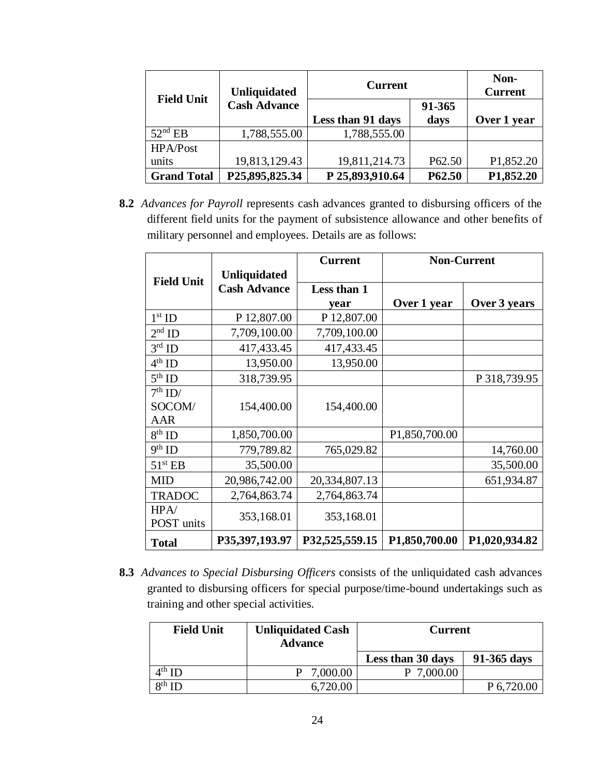| <b>Field Unit</b>  | <b>Unliquidated</b> | <b>Current</b>    |                    | Non-<br><b>Current</b> |
|--------------------|---------------------|-------------------|--------------------|------------------------|
|                    | <b>Cash Advance</b> |                   | 91-365             |                        |
|                    |                     | Less than 91 days | days               | Over 1 year            |
| $52nd$ EB          | 1,788,555.00        | 1,788,555.00      |                    |                        |
| HPA/Post           |                     |                   |                    |                        |
| units              | 19,813,129.43       | 19,811,214.73     | P <sub>62.50</sub> | P1,852.20              |
| <b>Grand Total</b> | P25,895,825.34      | P 25,893,910.64   | P62.50             | P1,852.20              |

**8.2** *Advances for Payroll* represents cash advances granted to disbursing officers of the different field units for the payment of subsistence allowance and other benefits of military personnel and employees. Details are as follows:

|                    |                     | <b>Current</b> | <b>Non-Current</b> |               |
|--------------------|---------------------|----------------|--------------------|---------------|
| <b>Field Unit</b>  | <b>Unliquidated</b> |                |                    |               |
|                    | <b>Cash Advance</b> | Less than 1    |                    |               |
|                    |                     | vear           | Over 1 year        | Over 3 years  |
| $1st$ ID           | P 12,807.00         | P 12,807.00    |                    |               |
| $2nd$ ID           | 7,709,100.00        | 7,709,100.00   |                    |               |
| $3rd$ ID           | 417,433.45          | 417,433.45     |                    |               |
| $4^{\text{th}}$ ID | 13,950.00           | 13,950.00      |                    |               |
| $5^{\text{th}}$ ID | 318,739.95          |                |                    | P 318,739.95  |
| $7th$ ID/          |                     |                |                    |               |
| SOCOM/             | 154,400.00          | 154,400.00     |                    |               |
| AAR                |                     |                |                    |               |
| $8th$ ID           | 1,850,700.00        |                | P1,850,700.00      |               |
| $9th$ ID           | 779,789.82          | 765,029.82     |                    | 14,760.00     |
| $51^{\rm st}$ EB   | 35,500.00           |                |                    | 35,500.00     |
| <b>MID</b>         | 20,986,742.00       | 20,334,807.13  |                    | 651,934.87    |
| <b>TRADOC</b>      | 2,764,863.74        | 2,764,863.74   |                    |               |
| HPA/               |                     |                |                    |               |
| POST units         | 353,168.01          | 353,168.01     |                    |               |
| <b>Total</b>       | P35,397,193.97      | P32,525,559.15 | P1,850,700.00      | P1,020,934.82 |

**8.3** *Advances to Special Disbursing Officers* consists of the unliquidated cash advances granted to disbursing officers for special purpose/time-bound undertakings such as training and other special activities.

| <b>Field Unit</b>  | <b>Unliquidated Cash</b><br><b>Advance</b> | <b>Current</b>    |             |
|--------------------|--------------------------------------------|-------------------|-------------|
|                    |                                            | Less than 30 days | 91-365 days |
| $4^{\text{th}}$ ID | 7,000.00                                   | 7,000.00          |             |
| $8th$ ID           | 6,720.00                                   |                   | P 6,720.00  |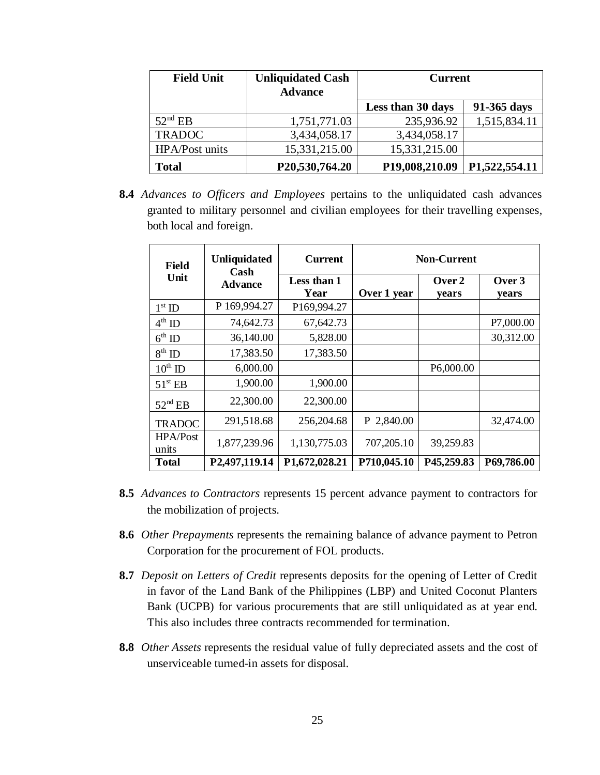| <b>Field Unit</b> | <b>Unliquidated Cash</b><br><b>Advance</b> | <b>Current</b>    |               |
|-------------------|--------------------------------------------|-------------------|---------------|
|                   |                                            | Less than 30 days | 91-365 days   |
| $52nd$ EB         | 1,751,771.03                               | 235,936.92        | 1,515,834.11  |
| <b>TRADOC</b>     | 3,434,058.17                               | 3,434,058.17      |               |
| HPA/Post units    | 15,331,215.00                              | 15,331,215.00     |               |
| <b>Total</b>      | P20,530,764.20                             | P19,008,210.09    | P1,522,554.11 |

**8.4** *Advances to Officers and Employees* pertains to the unliquidated cash advances granted to military personnel and civilian employees for their travelling expenses, both local and foreign.

| <b>Field</b>       | <b>Unliquidated</b><br>Cash | <b>Current</b>      | <b>Non-Current</b> |                 |                 |
|--------------------|-----------------------------|---------------------|--------------------|-----------------|-----------------|
| Unit               | <b>Advance</b>              | Less than 1<br>Year | Over 1 year        | Over 2<br>years | Over 3<br>years |
| $1^{\rm st}$ ID    | P 169,994.27                | P169,994.27         |                    |                 |                 |
| $4^{\text{th}}$ ID | 74,642.73                   | 67,642.73           |                    |                 | P7,000.00       |
| $6^{\text{th}}$ ID | 36,140.00                   | 5,828.00            |                    |                 | 30,312.00       |
| $8^{\rm th}$ ID    | 17,383.50                   | 17,383.50           |                    |                 |                 |
| $10^{th}$ ID       | 6,000.00                    |                     |                    | P6,000.00       |                 |
| $51^{\rm st}$ EB   | 1,900.00                    | 1,900.00            |                    |                 |                 |
| $52nd$ EB          | 22,300.00                   | 22,300.00           |                    |                 |                 |
| <b>TRADOC</b>      | 291,518.68                  | 256,204.68          | P 2,840.00         |                 | 32,474.00       |
| HPA/Post<br>units  | 1,877,239.96                | 1,130,775.03        | 707,205.10         | 39,259.83       |                 |
| <b>Total</b>       | P2,497,119.14               | P1,672,028.21       | P710,045.10        | P45,259.83      | P69,786.00      |

- **8.5** *Advances to Contractors* represents 15 percent advance payment to contractors for the mobilization of projects.
- **8.6** *Other Prepayments* represents the remaining balance of advance payment to Petron Corporation for the procurement of FOL products.
- **8.7** *Deposit on Letters of Credit* represents deposits for the opening of Letter of Credit in favor of the Land Bank of the Philippines (LBP) and United Coconut Planters Bank (UCPB) for various procurements that are still unliquidated as at year end. This also includes three contracts recommended for termination.
- **8.8** *Other Assets* represents the residual value of fully depreciated assets and the cost of unserviceable turned-in assets for disposal.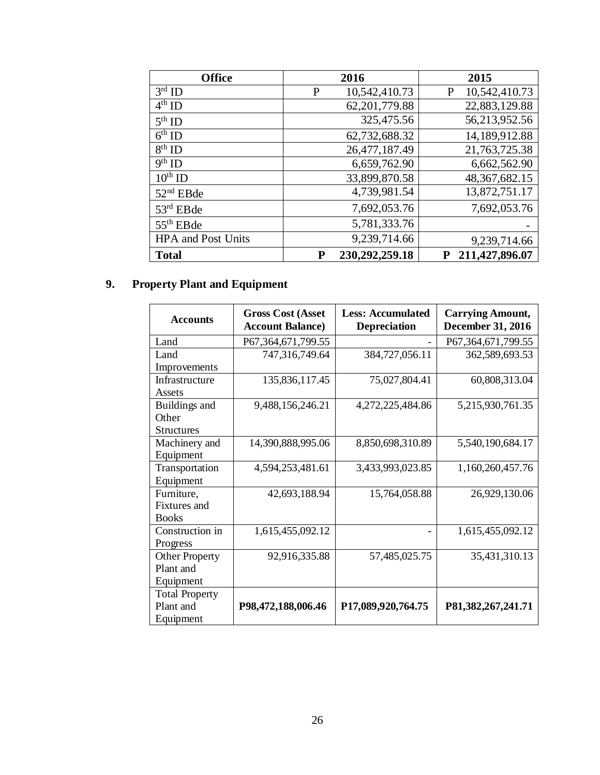| <b>Office</b>                   | 2016                | 2015               |
|---------------------------------|---------------------|--------------------|
| $3rd$ ID                        | 10,542,410.73<br>P  | 10,542,410.73<br>P |
| $4th$ ID                        | 62, 201, 779.88     | 22,883,129.88      |
| $5^{\text{th}}$ ID              | 325,475.56          | 56,213,952.56      |
| $6th$ ID                        | 62,732,688.32       | 14,189,912.88      |
| $8th$ ID                        | 26,477,187.49       | 21,763,725.38      |
| $\overline{9}$ <sup>th</sup> ID | 6,659,762.90        | 6,662,562.90       |
| $10^{\text{th}}$ ID             | 33,899,870.58       | 48, 367, 682. 15   |
| $52nd$ EBde                     | 4,739,981.54        | 13,872,751.17      |
| $53rd$ EBde                     | 7,692,053.76        | 7,692,053.76       |
| $55th$ EBde                     | 5,781,333.76        |                    |
| <b>HPA</b> and Post Units       | 9,239,714.66        | 9,239,714.66       |
| <b>Total</b>                    | 230,292,259.18<br>P | 211,427,896.07     |

# **9. Property Plant and Equipment**

| <b>Accounts</b>       | <b>Gross Cost (Asset</b><br><b>Account Balance)</b> | <b>Less: Accumulated</b><br><b>Depreciation</b> | <b>Carrying Amount,</b><br><b>December 31, 2016</b> |
|-----------------------|-----------------------------------------------------|-------------------------------------------------|-----------------------------------------------------|
| Land                  | P67,364,671,799.55                                  |                                                 | P67,364,671,799.55                                  |
| Land                  | 747,316,749.64                                      | 384,727,056.11                                  | 362,589,693.53                                      |
| Improvements          |                                                     |                                                 |                                                     |
| Infrastructure        | 135,836,117.45                                      | 75,027,804.41                                   | 60,808,313.04                                       |
| Assets                |                                                     |                                                 |                                                     |
| Buildings and         | 9,488,156,246.21                                    | 4,272,225,484.86                                | 5,215,930,761.35                                    |
| Other                 |                                                     |                                                 |                                                     |
| <b>Structures</b>     |                                                     |                                                 |                                                     |
| Machinery and         | 14,390,888,995.06                                   | 8,850,698,310.89                                | 5,540,190,684.17                                    |
| Equipment             |                                                     |                                                 |                                                     |
| Transportation        | 4,594,253,481.61                                    | 3,433,993,023.85                                | 1,160,260,457.76                                    |
| Equipment             |                                                     |                                                 |                                                     |
| Furniture,            | 42,693,188.94                                       | 15,764,058.88                                   | 26,929,130.06                                       |
| <b>Fixtures</b> and   |                                                     |                                                 |                                                     |
| <b>Books</b>          |                                                     |                                                 |                                                     |
| Construction in       | 1,615,455,092.12                                    |                                                 | 1,615,455,092.12                                    |
| Progress              |                                                     |                                                 |                                                     |
| <b>Other Property</b> | 92,916,335.88                                       | 57,485,025.75                                   | 35,431,310.13                                       |
| Plant and             |                                                     |                                                 |                                                     |
| Equipment             |                                                     |                                                 |                                                     |
| <b>Total Property</b> |                                                     |                                                 |                                                     |
| Plant and             | P98,472,188,006.46                                  | P17,089,920,764.75                              | P81,382,267,241.71                                  |
| Equipment             |                                                     |                                                 |                                                     |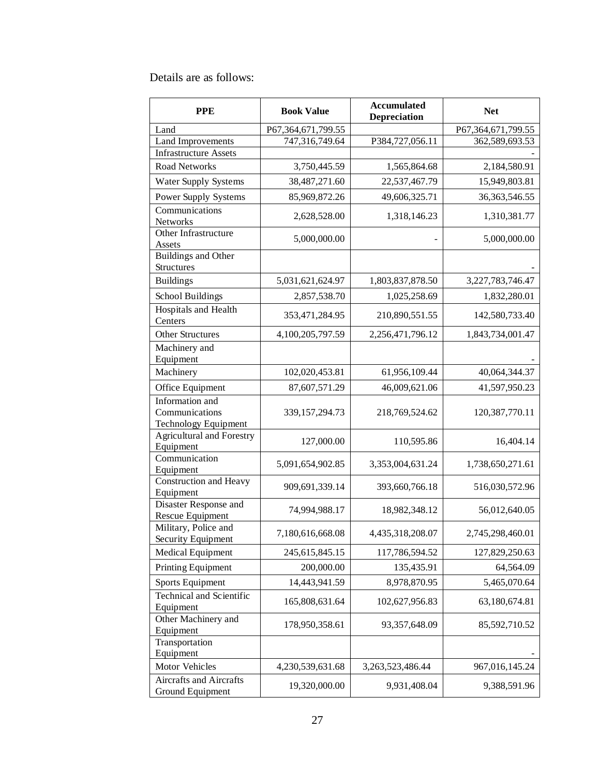Details are as follows:

| <b>PPE</b>                                                       | <b>Accumulated</b><br><b>Book Value</b><br><b>Depreciation</b> |                  | <b>Net</b>         |
|------------------------------------------------------------------|----------------------------------------------------------------|------------------|--------------------|
| Land                                                             | P67,364,671,799.55                                             |                  | P67,364,671,799.55 |
| <b>Land Improvements</b>                                         | 747,316,749.64                                                 | P384,727,056.11  | 362,589,693.53     |
| <b>Infrastructure Assets</b>                                     |                                                                |                  |                    |
| <b>Road Networks</b>                                             | 3,750,445.59                                                   | 1,565,864.68     | 2,184,580.91       |
| <b>Water Supply Systems</b>                                      | 38,487,271.60                                                  | 22,537,467.79    | 15,949,803.81      |
| Power Supply Systems                                             | 85,969,872.26                                                  | 49,606,325.71    | 36, 363, 546. 55   |
| Communications<br>Networks                                       | 2,628,528.00                                                   | 1,318,146.23     | 1,310,381.77       |
| Other Infrastructure<br>Assets                                   | 5,000,000.00                                                   |                  | 5,000,000.00       |
| Buildings and Other<br>Structures                                |                                                                |                  |                    |
| <b>Buildings</b>                                                 | 5,031,621,624.97                                               | 1,803,837,878.50 | 3,227,783,746.47   |
| School Buildings                                                 | 2,857,538.70                                                   | 1,025,258.69     | 1,832,280.01       |
| Hospitals and Health<br>Centers                                  | 353,471,284.95                                                 | 210,890,551.55   | 142,580,733.40     |
| <b>Other Structures</b>                                          | 4,100,205,797.59                                               | 2,256,471,796.12 | 1,843,734,001.47   |
| Machinery and<br>Equipment                                       |                                                                |                  |                    |
| Machinery                                                        | 102,020,453.81                                                 | 61,956,109.44    | 40,064,344.37      |
| Office Equipment                                                 | 87,607,571.29                                                  | 46,009,621.06    | 41,597,950.23      |
| Information and<br>Communications<br><b>Technology Equipment</b> | 339, 157, 294. 73                                              | 218,769,524.62   | 120,387,770.11     |
| <b>Agricultural and Forestry</b><br>Equipment                    | 127,000.00                                                     | 110,595.86       | 16,404.14          |
| Communication<br>Equipment                                       | 5,091,654,902.85                                               | 3,353,004,631.24 | 1,738,650,271.61   |
| Construction and Heavy<br>Equipment                              | 909,691,339.14                                                 | 393,660,766.18   | 516,030,572.96     |
| Disaster Response and<br>Rescue Equipment                        | 74,994,988.17                                                  | 18,982,348.12    | 56,012,640.05      |
| Military, Police and<br>Security Equipment                       | 7,180,616,668.08                                               | 4,435,318,208.07 | 2,745,298,460.01   |
| Medical Equipment                                                | 245,615,845.15                                                 | 117,786,594.52   | 127,829,250.63     |
| Printing Equipment                                               | 200,000.00                                                     | 135,435.91       | 64,564.09          |
| Sports Equipment                                                 | 14,443,941.59                                                  | 8,978,870.95     | 5,465,070.64       |
| <b>Technical and Scientific</b><br>Equipment                     | 165,808,631.64                                                 | 102,627,956.83   | 63,180,674.81      |
| Other Machinery and<br>Equipment                                 | 178,950,358.61                                                 | 93, 357, 648. 09 | 85,592,710.52      |
| Transportation<br>Equipment                                      |                                                                |                  |                    |
| Motor Vehicles                                                   | 4,230,539,631.68                                               | 3,263,523,486.44 | 967,016,145.24     |
| Aircrafts and Aircrafts<br>Ground Equipment                      | 19,320,000.00                                                  | 9,931,408.04     | 9,388,591.96       |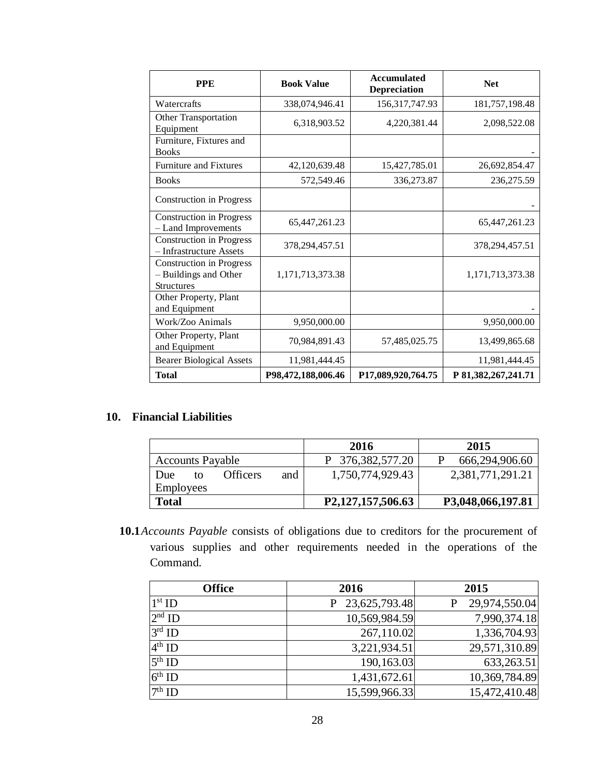| <b>PPE</b>                                                                    | <b>Book Value</b>  | <b>Accumulated</b><br><b>Depreciation</b> | <b>Net</b>          |
|-------------------------------------------------------------------------------|--------------------|-------------------------------------------|---------------------|
| Watercrafts                                                                   | 338,074,946.41     | 156,317,747.93                            | 181,757,198.48      |
| <b>Other Transportation</b><br>Equipment                                      | 6,318,903.52       | 4,220,381.44                              | 2,098,522.08        |
| Furniture, Fixtures and<br><b>Books</b>                                       |                    |                                           |                     |
| <b>Furniture and Fixtures</b>                                                 | 42,120,639.48      | 15,427,785.01                             | 26,692,854.47       |
| <b>Books</b>                                                                  | 572,549.46         | 336,273.87                                | 236,275.59          |
| <b>Construction in Progress</b>                                               |                    |                                           |                     |
| <b>Construction in Progress</b><br>- Land Improvements                        | 65,447,261.23      |                                           | 65,447,261.23       |
| <b>Construction in Progress</b><br>- Infrastructure Assets                    | 378,294,457.51     |                                           | 378, 294, 457. 51   |
| <b>Construction in Progress</b><br>- Buildings and Other<br><b>Structures</b> | 1,171,713,373.38   |                                           | 1,171,713,373.38    |
| Other Property, Plant<br>and Equipment                                        |                    |                                           |                     |
| Work/Zoo Animals                                                              | 9,950,000.00       |                                           | 9,950,000.00        |
| Other Property, Plant<br>and Equipment                                        | 70,984,891.43      | 57,485,025.75                             | 13,499,865.68       |
| <b>Bearer Biological Assets</b>                                               | 11,981,444.45      |                                           | 11,981,444.45       |
| <b>Total</b>                                                                  | P98,472,188,006.46 | P17,089,920,764.75                        | P 81,382,267,241.71 |

## **10. Financial Liabilities**

|                         |    |                 |     | 2016              | 2015              |
|-------------------------|----|-----------------|-----|-------------------|-------------------|
| <b>Accounts Payable</b> |    |                 |     | P 376,382,577.20  | 666,294,906.60    |
| Due                     | tΩ | <b>Officers</b> | and | 1,750,774,929.43  | 2,381,771,291.21  |
| <b>Employees</b>        |    |                 |     |                   |                   |
| <b>Total</b>            |    |                 |     | P2,127,157,506.63 | P3,048,066,197.81 |

**10.1***Accounts Payable* consists of obligations due to creditors for the procurement of various supplies and other requirements needed in the operations of the Command.

| <b>Office</b> | 2016            | 2015          |
|---------------|-----------------|---------------|
| $1st$ ID      | P 23,625,793.48 | 29,974,550.04 |
| $2nd$ ID      | 10,569,984.59   | 7,990,374.18  |
| $3rd$ ID      | 267,110.02      | 1,336,704.93  |
| $4th$ ID      | 3,221,934.51    | 29,571,310.89 |
| $5th$ ID      | 190,163.03      | 633,263.51    |
| $6th$ ID      | 1,431,672.61    | 10,369,784.89 |
| $7th$ ID      | 15,599,966.33   | 15,472,410.48 |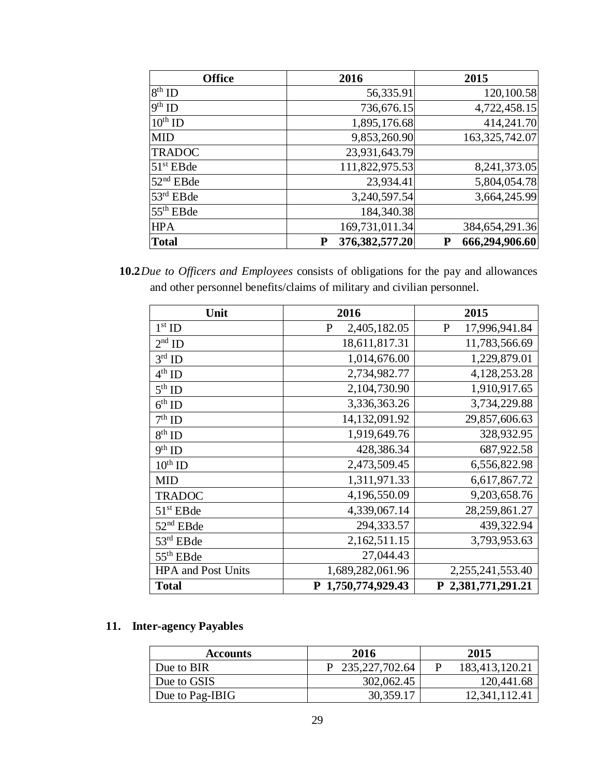| <b>Office</b>         | 2016                   | 2015                |
|-----------------------|------------------------|---------------------|
| $8th$ ID              | 56,335.91              | 120,100.58          |
| $9th$ ID              | 736,676.15             | 4,722,458.15        |
| $10^{\text{th}}$ ID   | 1,895,176.68           | 414,241.70          |
| <b>MID</b>            | 9,853,260.90           | 163, 325, 742.07    |
| <b>TRADOC</b>         | 23,931,643.79          |                     |
| $51st$ EBde           | 111,822,975.53         | 8,241,373.05        |
| 52 <sup>nd</sup> EBde | 23,934.41              | 5,804,054.78        |
| $53rd$ EBde           | 3,240,597.54           | 3,664,245.99        |
| $55th$ EBde           | 184,340.38             |                     |
| <b>HPA</b>            | 169,731,011.34         | 384, 654, 291. 36   |
| <b>Total</b>          | 376, 382, 577. 20<br>P | 666,294,906.60<br>P |

**10.2***Due to Officers and Employees* consists of obligations for the pay and allowances and other personnel benefits/claims of military and civilian personnel.

| Unit                      | 2016               | 2015                          |
|---------------------------|--------------------|-------------------------------|
| $1st$ ID                  | 2,405,182.05<br>P  | 17,996,941.84<br>$\mathbf{P}$ |
| $2nd$ ID                  | 18,611,817.31      | 11,783,566.69                 |
| $3rd$ ID                  | 1,014,676.00       | 1,229,879.01                  |
| $4^{\text{th}}$ ID        | 2,734,982.77       | 4,128,253.28                  |
| $5th$ ID                  | 2,104,730.90       | 1,910,917.65                  |
| $6th$ ID                  | 3,336,363.26       | 3,734,229.88                  |
| $7th$ ID                  | 14,132,091.92      | 29,857,606.63                 |
| $8^{\rm th}$ ID           | 1,919,649.76       | 328,932.95                    |
| $9^{\rm th}$ ID           | 428,386.34         | 687,922.58                    |
| $10^{\text{th}}$ ID       | 2,473,509.45       | 6,556,822.98                  |
| <b>MID</b>                | 1,311,971.33       | 6,617,867.72                  |
| <b>TRADOC</b>             | 4,196,550.09       | 9,203,658.76                  |
| $51st$ EBde               | 4,339,067.14       | 28,259,861.27                 |
| $52nd$ EBde               | 294,333.57         | 439,322.94                    |
| 53rd EBde                 | 2,162,511.15       | 3,793,953.63                  |
| $55th$ EBde               | 27,044.43          |                               |
| <b>HPA</b> and Post Units | 1,689,282,061.96   | 2,255,241,553.40              |
| <b>Total</b>              | P 1,750,774,929.43 | P 2,381,771,291.21            |

# **11. Inter-agency Payables**

| <b>Accounts</b> | 2016               | 2015           |
|-----------------|--------------------|----------------|
| Due to BIR      | P 235, 227, 702.64 | 183,413,120.21 |
| Due to GSIS     | 302,062.45         | 120,441.68     |
| Due to Pag-IBIG | 30,359.17          | 12,341,112.41  |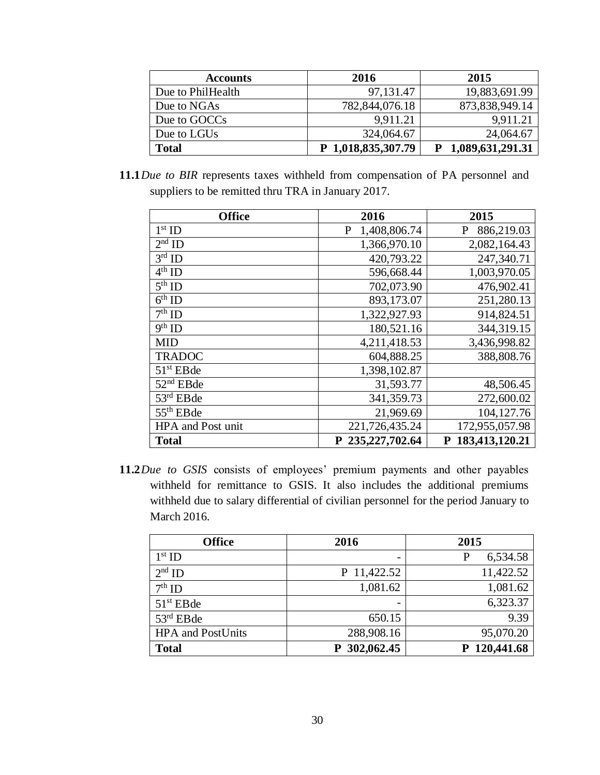| <b>Accounts</b>   | 2016               | 2015               |
|-------------------|--------------------|--------------------|
| Due to PhilHealth | 97, 131. 47        | 19,883,691.99      |
| Due to NGAs       | 782,844,076.18     | 873,838,949.14     |
| Due to GOCCs      | 9,911.21           | 9,911.21           |
| Due to LGUs       | 324,064.67         | 24,064.67          |
| <b>Total</b>      | P 1,018,835,307.79 | P 1,089,631,291.31 |

**11.1***Due to BIR* represents taxes withheld from compensation of PA personnel and suppliers to be remitted thru TRA in January 2017.

| <b>Office</b>     | 2016                  | 2015             |
|-------------------|-----------------------|------------------|
| $1st$ ID          | 1,408,806.74<br>P     | 886,219.03       |
| $2nd$ ID          | 1,366,970.10          | 2,082,164.43     |
| $3rd$ ID          | 420,793.22            | 247,340.71       |
| $4th$ ID          | 596,668.44            | 1,003,970.05     |
| $5th$ ID          | 702,073.90            | 476,902.41       |
| $6th$ ID          | 893,173.07            | 251,280.13       |
| $7th$ ID          | 1,322,927.93          | 914,824.51       |
| $9^{\rm th}$ ID   | 180,521.16            | 344,319.15       |
| <b>MID</b>        | 4,211,418.53          | 3,436,998.82     |
| <b>TRADOC</b>     | 604,888.25            | 388,808.76       |
| $51st$ EBde       | 1,398,102.87          |                  |
| $52nd$ EBde       | 31,593.77             | 48,506.45        |
| $53rd$ EBde       | 341, 359. 73          | 272,600.02       |
| $55th$ EBde       | 21,969.69             | 104,127.76       |
| HPA and Post unit | 221,726,435.24        | 172,955,057.98   |
| <b>Total</b>      | 235, 227, 702.64<br>P | P 183,413,120.21 |

**11.2***Due to GSIS* consists of employees' premium payments and other payables withheld for remittance to GSIS. It also includes the additional premiums withheld due to salary differential of civilian personnel for the period January to March 2016.

| <b>Office</b>            | 2016                     | 2015          |
|--------------------------|--------------------------|---------------|
| $1st$ ID                 | $\overline{\phantom{0}}$ | 6,534.58<br>P |
| $2nd$ ID                 | P 11,422.52              | 11,422.52     |
| $7th$ ID                 | 1,081.62                 | 1,081.62      |
| $51st$ EBde              | $\overline{\phantom{a}}$ | 6,323.37      |
| $53rd$ EBde              | 650.15                   | 9.39          |
| <b>HPA</b> and PostUnits | 288,908.16               | 95,070.20     |
| <b>Total</b>             | 302,062.45<br>P          | P 120,441.68  |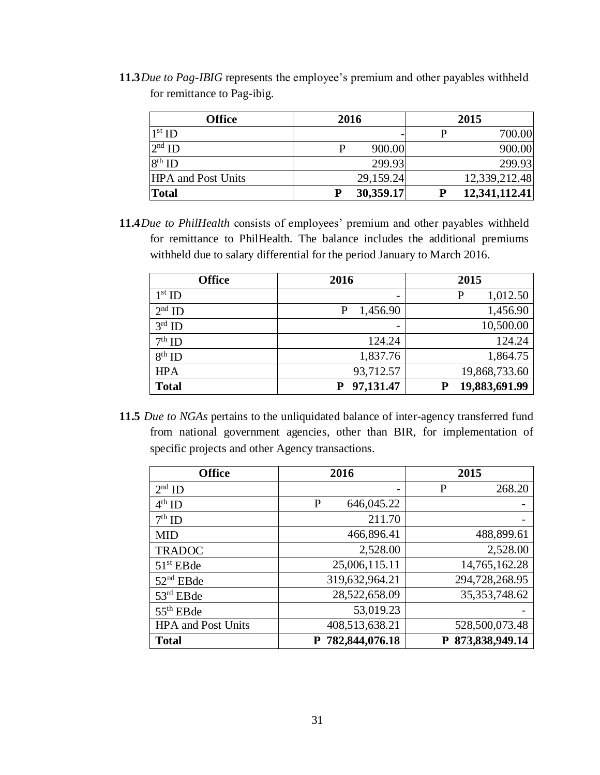**11.3***Due to Pag-IBIG* represents the employee's premium and other payables withheld for remittance to Pag-ibig.

| <b>Office</b>             | 2016        | 2015          |
|---------------------------|-------------|---------------|
| $1st$ ID                  |             | 700.00        |
| $2nd$ ID                  | 900.00<br>р | 900.00        |
| $8th$ ID                  | 299.93      | 299.93        |
| <b>HPA</b> and Post Units | 29,159.24   | 12,339,212.48 |
| <b>Total</b>              | 30,359.17   | 12,341,112.41 |

**11.4***Due to PhilHealth* consists of employees' premium and other payables withheld for remittance to PhilHealth. The balance includes the additional premiums withheld due to salary differential for the period January to March 2016.

| <b>Office</b> | 2016                     | 2015               |
|---------------|--------------------------|--------------------|
| $1st$ ID      | $\overline{\phantom{a}}$ | 1,012.50<br>P      |
| $2nd$ ID      | 1,456.90                 | 1,456.90           |
| $3rd$ ID      | $\overline{\phantom{a}}$ | 10,500.00          |
| $7th$ ID      | 124.24                   | 124.24             |
| $8th$ ID      | 1,837.76                 | 1,864.75           |
| <b>HPA</b>    | 93,712.57                | 19,868,733.60      |
| <b>Total</b>  | 97,131.47                | 19,883,691.99<br>Р |

**11.5** *Due to NGAs* pertains to the unliquidated balance of inter-agency transferred fund from national government agencies, other than BIR, for implementation of specific projects and other Agency transactions.

| <b>Office</b>             | 2016             | 2015             |
|---------------------------|------------------|------------------|
| $2nd$ ID                  |                  | 268.20<br>P      |
| $4th$ ID                  | 646,045.22<br>P  |                  |
| $7th$ ID                  | 211.70           |                  |
| <b>MID</b>                | 466,896.41       | 488,899.61       |
| <b>TRADOC</b>             | 2,528.00         | 2,528.00         |
| $51st$ EBde               | 25,006,115.11    | 14,765,162.28    |
| $52nd$ EBde               | 319,632,964.21   | 294,728,268.95   |
| $53rd$ EBde               | 28,522,658.09    | 35, 353, 748.62  |
| $55th$ EBde               | 53,019.23        |                  |
| <b>HPA</b> and Post Units | 408,513,638.21   | 528,500,073.48   |
| <b>Total</b>              | P 782,844,076.18 | P 873,838,949.14 |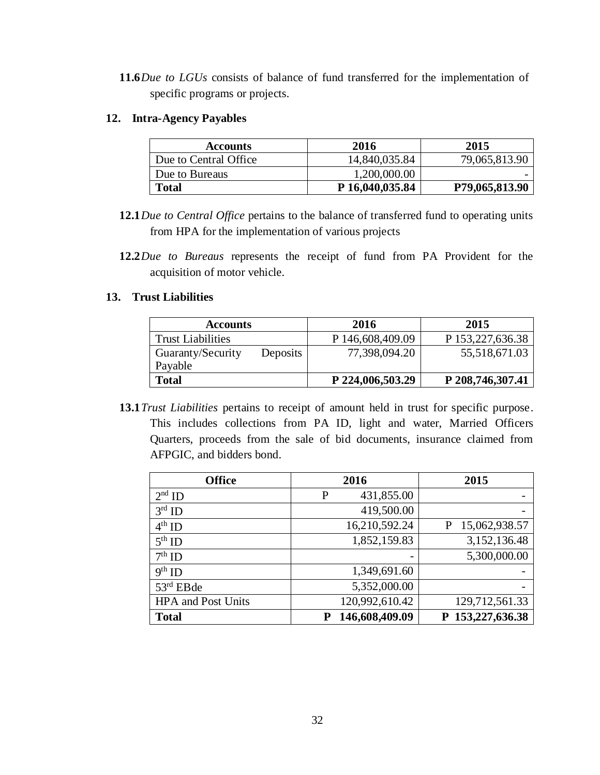**11.6***Due to LGUs* consists of balance of fund transferred for the implementation of specific programs or projects*.* 

### **12. Intra-Agency Payables**

| <b>Accounts</b>       | 2016            | 2015           |
|-----------------------|-----------------|----------------|
| Due to Central Office | 14,840,035.84   | 79,065,813.90  |
| Due to Bureaus        | 1,200,000.00    |                |
| <b>Total</b>          | P 16,040,035.84 | P79,065,813.90 |

- **12.1***Due to Central Office* pertains to the balance of transferred fund to operating units from HPA for the implementation of various projects
- **12.2***Due to Bureaus* represents the receipt of fund from PA Provident for the acquisition of motor vehicle.

### **13. Trust Liabilities**

| <b>Accounts</b>          |          | 2016             | 2015             |
|--------------------------|----------|------------------|------------------|
| <b>Trust Liabilities</b> |          | P 146,608,409.09 | P 153,227,636.38 |
| Guaranty/Security        | Deposits | 77,398,094.20    | 55,518,671.03    |
| Payable                  |          |                  |                  |
| <b>Total</b>             |          | P 224,006,503.29 | P 208,746,307.41 |

**13.1***Trust Liabilities* pertains to receipt of amount held in trust for specific purpose. This includes collections from PA ID, light and water, Married Officers Quarters, proceeds from the sale of bid documents, insurance claimed from AFPGIC, and bidders bond.

| <b>Office</b>             | 2016                | 2015               |
|---------------------------|---------------------|--------------------|
| $2nd$ ID                  | 431,855.00<br>P     |                    |
| $3rd$ ID                  | 419,500.00          |                    |
| $4th$ ID                  | 16,210,592.24       | 15,062,938.57<br>P |
| $5th$ ID                  | 1,852,159.83        | 3,152,136.48       |
| $7th$ ID                  |                     | 5,300,000.00       |
| $9th$ ID                  | 1,349,691.60        |                    |
| $53rd$ EBde               | 5,352,000.00        |                    |
| <b>HPA</b> and Post Units | 120,992,610.42      | 129,712,561.33     |
| <b>Total</b>              | 146,608,409.09<br>P | P 153,227,636.38   |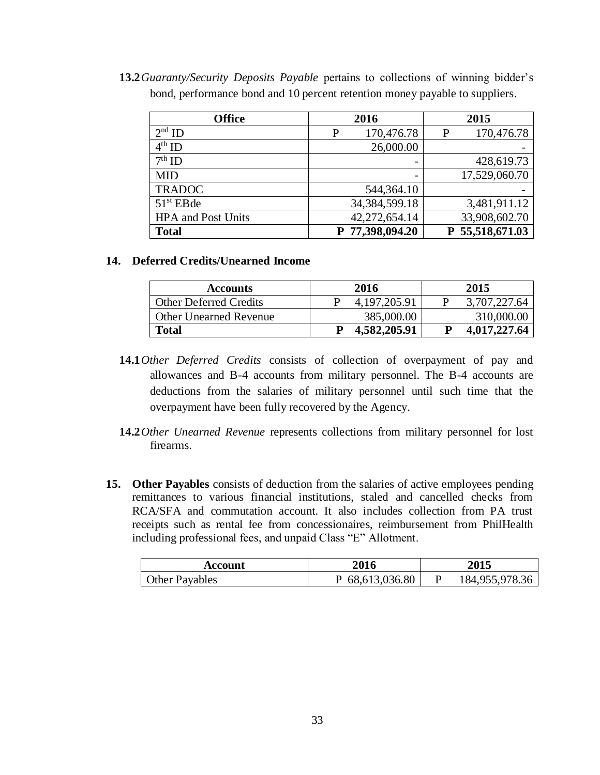**13.2***Guaranty/Security Deposits Payable* pertains to collections of winning bidder's bond, performance bond and 10 percent retention money payable to suppliers.

| <b>Office</b>             |   | 2016             |   | 2015          |
|---------------------------|---|------------------|---|---------------|
| $2nd$ ID                  | P | 170,476.78       | P | 170,476.78    |
| $4th$ ID                  |   | 26,000.00        |   |               |
| $7th$ ID                  |   |                  |   | 428,619.73    |
| <b>MID</b>                |   |                  |   | 17,529,060.70 |
| <b>TRADOC</b>             |   | 544, 364. 10     |   |               |
| $51st$ EBde               |   | 34, 384, 599. 18 |   | 3,481,911.12  |
| <b>HPA</b> and Post Units |   | 42,272,654.14    |   | 33,908,602.70 |
| <b>Total</b>              |   | P 77,398,094.20  | P | 55,518,671.03 |

#### **14. Deferred Credits/Unearned Income**

| Accounts                      | 2016            | 2015         |
|-------------------------------|-----------------|--------------|
| <b>Other Deferred Credits</b> | 4, 197, 205. 91 | 3,707,227.64 |
| <b>Other Unearned Revenue</b> | 385,000.00      | 310,000.00   |
| <b>Total</b>                  | 4,582,205.91    | 4,017,227.64 |

- **14.1***Other Deferred Credits* consists of collection of overpayment of pay and allowances and B-4 accounts from military personnel. The B-4 accounts are deductions from the salaries of military personnel until such time that the overpayment have been fully recovered by the Agency.
- **14.2***Other Unearned Revenue* represents collections from military personnel for lost firearms.
- **15. Other Payables** consists of deduction from the salaries of active employees pending remittances to various financial institutions, staled and cancelled checks from RCA/SFA and commutation account. It also includes collection from PA trust receipts such as rental fee from concessionaires, reimbursement from PhilHealth including professional fees, and unpaid Class "E" Allotment.

| Account               | 2016            | 2015           |
|-----------------------|-----------------|----------------|
| <b>Other Payables</b> | P 68,613,036.80 | 184,955,978.36 |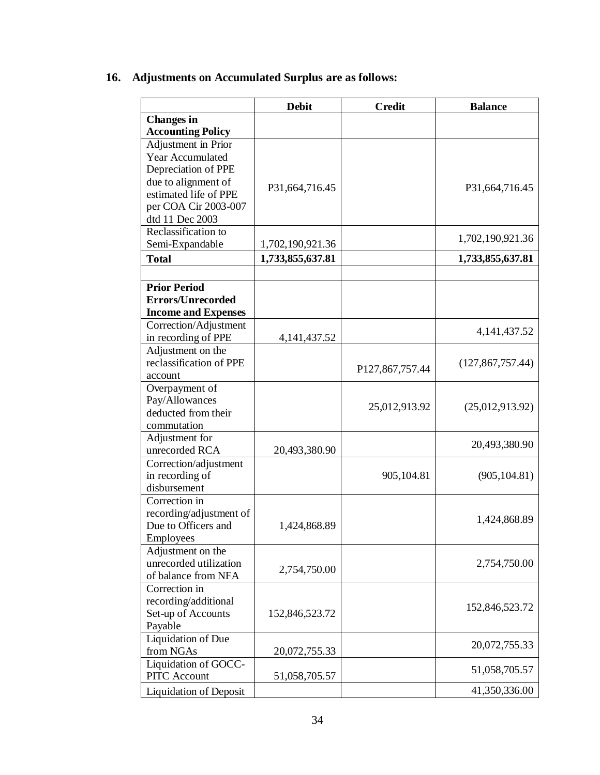# **16. Adjustments on Accumulated Surplus are as follows:**

| <b>Changes</b> in<br><b>Accounting Policy</b><br>Adjustment in Prior<br>Year Accumulated<br>Depreciation of PPE<br>due to alignment of<br>P31,664,716.45<br>P31,664,716.45<br>estimated life of PPE<br>per COA Cir 2003-007<br>dtd 11 Dec 2003<br>Reclassification to<br>1,702,190,921.36<br>Semi-Expandable<br>1,702,190,921.36 |              | <b>Debit</b>     | <b>Credit</b> | <b>Balance</b>   |
|----------------------------------------------------------------------------------------------------------------------------------------------------------------------------------------------------------------------------------------------------------------------------------------------------------------------------------|--------------|------------------|---------------|------------------|
|                                                                                                                                                                                                                                                                                                                                  |              |                  |               |                  |
|                                                                                                                                                                                                                                                                                                                                  |              |                  |               |                  |
|                                                                                                                                                                                                                                                                                                                                  |              |                  |               |                  |
|                                                                                                                                                                                                                                                                                                                                  |              |                  |               |                  |
|                                                                                                                                                                                                                                                                                                                                  |              |                  |               |                  |
|                                                                                                                                                                                                                                                                                                                                  |              |                  |               |                  |
|                                                                                                                                                                                                                                                                                                                                  |              |                  |               |                  |
|                                                                                                                                                                                                                                                                                                                                  |              |                  |               |                  |
|                                                                                                                                                                                                                                                                                                                                  |              |                  |               |                  |
|                                                                                                                                                                                                                                                                                                                                  |              |                  |               |                  |
|                                                                                                                                                                                                                                                                                                                                  | <b>Total</b> | 1,733,855,637.81 |               | 1,733,855,637.81 |
|                                                                                                                                                                                                                                                                                                                                  |              |                  |               |                  |
| <b>Prior Period</b>                                                                                                                                                                                                                                                                                                              |              |                  |               |                  |
| <b>Errors/Unrecorded</b>                                                                                                                                                                                                                                                                                                         |              |                  |               |                  |
| <b>Income and Expenses</b>                                                                                                                                                                                                                                                                                                       |              |                  |               |                  |
| Correction/Adjustment                                                                                                                                                                                                                                                                                                            |              |                  |               |                  |
| 4, 141, 437. 52<br>in recording of PPE<br>4, 141, 437. 52                                                                                                                                                                                                                                                                        |              |                  |               |                  |
| Adjustment on the                                                                                                                                                                                                                                                                                                                |              |                  |               |                  |
| reclassification of PPE<br>(127, 867, 757.44)<br>P127,867,757.44                                                                                                                                                                                                                                                                 |              |                  |               |                  |
| account                                                                                                                                                                                                                                                                                                                          |              |                  |               |                  |
| Overpayment of                                                                                                                                                                                                                                                                                                                   |              |                  |               |                  |
| Pay/Allowances<br>25,012,913.92<br>(25,012,913.92)                                                                                                                                                                                                                                                                               |              |                  |               |                  |
| deducted from their                                                                                                                                                                                                                                                                                                              |              |                  |               |                  |
| commutation                                                                                                                                                                                                                                                                                                                      |              |                  |               |                  |
| Adjustment for<br>20,493,380.90                                                                                                                                                                                                                                                                                                  |              |                  |               |                  |
| unrecorded RCA<br>20,493,380.90<br>Correction/adjustment                                                                                                                                                                                                                                                                         |              |                  |               |                  |
| in recording of<br>905,104.81<br>(905, 104.81)                                                                                                                                                                                                                                                                                   |              |                  |               |                  |
| disbursement                                                                                                                                                                                                                                                                                                                     |              |                  |               |                  |
| Correction in                                                                                                                                                                                                                                                                                                                    |              |                  |               |                  |
| recording/adjustment of                                                                                                                                                                                                                                                                                                          |              |                  |               |                  |
| 1,424,868.89<br>Due to Officers and<br>1,424,868.89                                                                                                                                                                                                                                                                              |              |                  |               |                  |
| Employees                                                                                                                                                                                                                                                                                                                        |              |                  |               |                  |
| Adjustment on the                                                                                                                                                                                                                                                                                                                |              |                  |               |                  |
| unrecorded utilization<br>2,754,750.00<br>2,754,750.00                                                                                                                                                                                                                                                                           |              |                  |               |                  |
| of balance from NFA                                                                                                                                                                                                                                                                                                              |              |                  |               |                  |
| Correction in                                                                                                                                                                                                                                                                                                                    |              |                  |               |                  |
| recording/additional<br>152,846,523.72                                                                                                                                                                                                                                                                                           |              |                  |               |                  |
| Set-up of Accounts<br>152,846,523.72                                                                                                                                                                                                                                                                                             |              |                  |               |                  |
| Payable<br>Liquidation of Due                                                                                                                                                                                                                                                                                                    |              |                  |               |                  |
| 20,072,755.33<br>from NGAs<br>20,072,755.33                                                                                                                                                                                                                                                                                      |              |                  |               |                  |
| Liquidation of GOCC-                                                                                                                                                                                                                                                                                                             |              |                  |               |                  |
| 51,058,705.57<br><b>PITC</b> Account<br>51,058,705.57                                                                                                                                                                                                                                                                            |              |                  |               |                  |
| 41,350,336.00<br><b>Liquidation of Deposit</b>                                                                                                                                                                                                                                                                                   |              |                  |               |                  |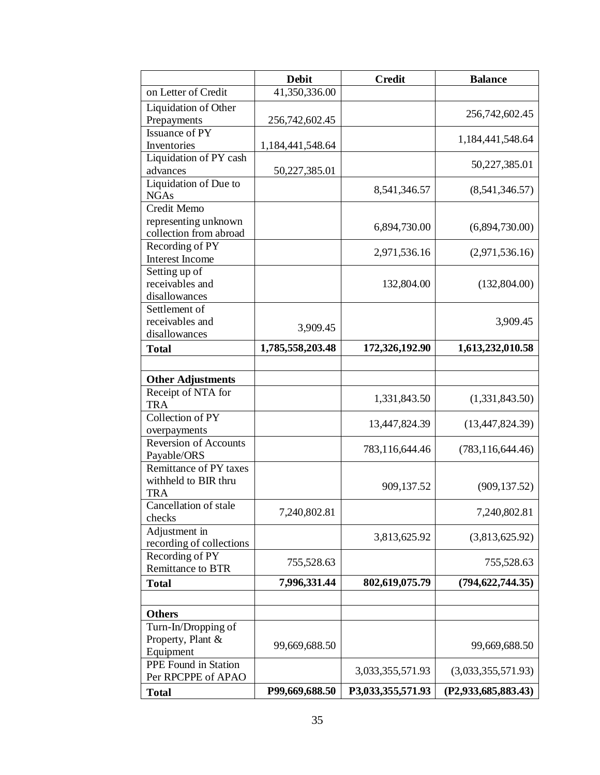|                                              | <b>Debit</b>         | <b>Credit</b>     | <b>Balance</b>      |
|----------------------------------------------|----------------------|-------------------|---------------------|
| on Letter of Credit                          | 41,350,336.00        |                   |                     |
| Liquidation of Other                         |                      |                   | 256,742,602.45      |
| Prepayments                                  | 256,742,602.45       |                   |                     |
| Issuance of PY                               |                      |                   | 1,184,441,548.64    |
| Inventories                                  | 1, 184, 441, 548. 64 |                   |                     |
| Liquidation of PY cash                       |                      |                   | 50,227,385.01       |
| advances<br>Liquidation of Due to            | 50,227,385.01        |                   |                     |
| <b>NGAs</b>                                  |                      | 8,541,346.57      | (8,541,346.57)      |
| Credit Memo                                  |                      |                   |                     |
| representing unknown                         |                      | 6,894,730.00      | (6,894,730.00)      |
| collection from abroad                       |                      |                   |                     |
| Recording of PY                              |                      | 2,971,536.16      | (2,971,536.16)      |
| Interest Income                              |                      |                   |                     |
| Setting up of<br>receivables and             |                      | 132,804.00        | (132,804.00)        |
| disallowances                                |                      |                   |                     |
| Settlement of                                |                      |                   |                     |
| receivables and                              |                      |                   | 3,909.45            |
| disallowances                                | 3,909.45             |                   |                     |
| <b>Total</b>                                 | 1,785,558,203.48     | 172,326,192.90    | 1,613,232,010.58    |
|                                              |                      |                   |                     |
| <b>Other Adjustments</b>                     |                      |                   |                     |
| Receipt of NTA for                           |                      | 1,331,843.50      | (1,331,843.50)      |
| <b>TRA</b>                                   |                      |                   |                     |
| Collection of PY                             |                      | 13,447,824.39     | (13,447,824.39)     |
| overpayments                                 |                      |                   |                     |
| <b>Reversion of Accounts</b>                 |                      | 783,116,644.46    | (783, 116, 644.46)  |
| Payable/ORS<br><b>Remittance of PY taxes</b> |                      |                   |                     |
| withheld to BIR thru                         |                      |                   |                     |
| <b>TRA</b>                                   |                      | 909,137.52        | (909, 137.52)       |
| Cancellation of stale                        |                      |                   |                     |
| checks                                       | 7,240,802.81         |                   | 7,240,802.81        |
| Adjustment in                                |                      | 3,813,625.92      | (3,813,625.92)      |
| recording of collections                     |                      |                   |                     |
| Recording of PY<br><b>Remittance to BTR</b>  | 755,528.63           |                   | 755,528.63          |
| <b>Total</b>                                 | 7,996,331.44         | 802,619,075.79    | (794, 622, 744.35)  |
|                                              |                      |                   |                     |
| <b>Others</b>                                |                      |                   |                     |
| Turn-In/Dropping of                          |                      |                   |                     |
| Property, Plant &                            |                      |                   |                     |
| Equipment                                    | 99,669,688.50        |                   | 99,669,688.50       |
| PPE Found in Station                         |                      | 3,033,355,571.93  | (3,033,355,571.93)  |
| Per RPCPPE of APAO                           |                      |                   |                     |
| <b>Total</b>                                 | P99,669,688.50       | P3,033,355,571.93 | (P2,933,685,883.43) |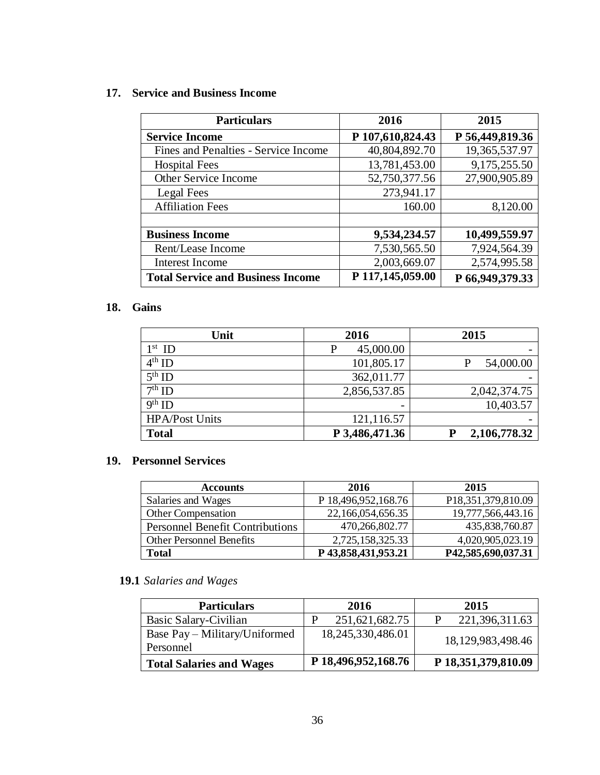### **17. Service and Business Income**

| <b>Particulars</b>                       | 2016             | 2015            |
|------------------------------------------|------------------|-----------------|
| <b>Service Income</b>                    | P 107,610,824.43 | P 56,449,819.36 |
| Fines and Penalties - Service Income     | 40,804,892.70    | 19,365,537.97   |
| <b>Hospital Fees</b>                     | 13,781,453.00    | 9,175,255.50    |
| Other Service Income                     | 52,750,377.56    | 27,900,905.89   |
| Legal Fees                               | 273,941.17       |                 |
| <b>Affiliation Fees</b>                  | 160.00           | 8,120.00        |
|                                          |                  |                 |
| <b>Business Income</b>                   | 9,534,234.57     | 10,499,559.97   |
| Rent/Lease Income                        | 7,530,565.50     | 7,924,564.39    |
| <b>Interest Income</b>                   | 2,003,669.07     | 2,574,995.58    |
| <b>Total Service and Business Income</b> | P 117,145,059.00 | P 66,949,379.33 |

### **18. Gains**

| Unit                  | 2016           | 2015              |
|-----------------------|----------------|-------------------|
| $1st$ ID              | 45,000.00<br>P |                   |
| $4th$ ID              | 101,805.17     | 54,000.00         |
| $5th$ ID              | 362,011.77     |                   |
| $7th$ ID              | 2,856,537.85   | 2,042,374.75      |
| $9th$ ID              | -              | 10,403.57         |
| <b>HPA/Post Units</b> | 121,116.57     |                   |
| <b>Total</b>          | P 3,486,471.36 | 2,106,778.32<br>P |

## **19. Personnel Services**

| <b>Accounts</b>                        | 2016                | 2015               |
|----------------------------------------|---------------------|--------------------|
| Salaries and Wages                     | P 18,496,952,168.76 | P18,351,379,810.09 |
| <b>Other Compensation</b>              | 22,166,054,656.35   | 19,777,566,443.16  |
| <b>Personnel Benefit Contributions</b> | 470,266,802.77      | 435,838,760.87     |
| <b>Other Personnel Benefits</b>        | 2,725,158,325.33    | 4,020,905,023.19   |
| <b>Total</b>                           | P43,858,431,953.21  | P42,585,690,037.31 |

# **19.1** *Salaries and Wages*

| <b>Particulars</b>              | 2016                | 2015                |
|---------------------------------|---------------------|---------------------|
| Basic Salary-Civilian           | 251,621,682.75      | 221,396,311.63      |
| Base Pay – Military/Uniformed   | 18,245,330,486.01   | 18,129,983,498.46   |
| Personnel                       |                     |                     |
| <b>Total Salaries and Wages</b> | P 18,496,952,168.76 | P 18,351,379,810.09 |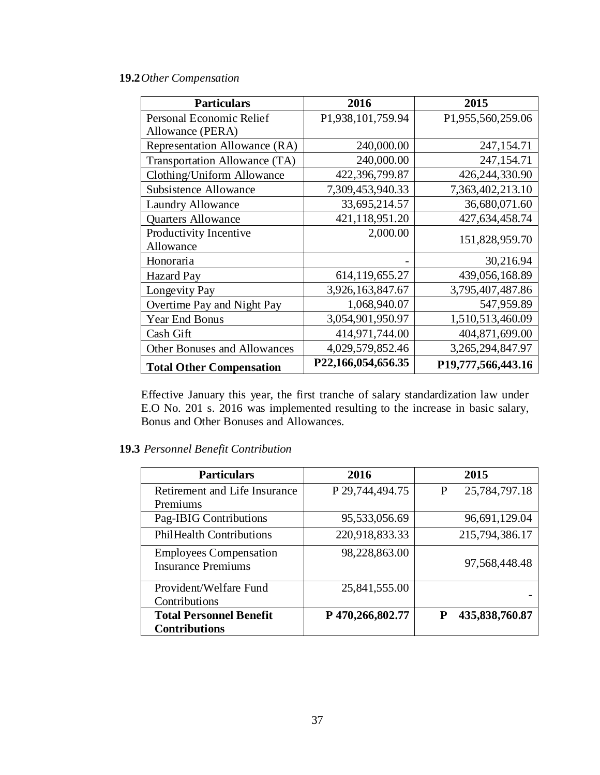### **19.2***Other Compensation*

| <b>Particulars</b>              | 2016               | 2015               |
|---------------------------------|--------------------|--------------------|
| Personal Economic Relief        | P1,938,101,759.94  | P1,955,560,259.06  |
| Allowance (PERA)                |                    |                    |
| Representation Allowance (RA)   | 240,000.00         | 247,154.71         |
| Transportation Allowance (TA)   | 240,000.00         | 247,154.71         |
| Clothing/Uniform Allowance      | 422,396,799.87     | 426,244,330.90     |
| Subsistence Allowance           | 7,309,453,940.33   | 7,363,402,213.10   |
| <b>Laundry Allowance</b>        | 33,695,214.57      | 36,680,071.60      |
| <b>Quarters Allowance</b>       | 421,118,951.20     | 427,634,458.74     |
| Productivity Incentive          | 2,000.00           | 151,828,959.70     |
| Allowance                       |                    |                    |
| Honoraria                       |                    | 30,216.94          |
| <b>Hazard Pay</b>               | 614,119,655.27     | 439,056,168.89     |
| Longevity Pay                   | 3,926,163,847.67   | 3,795,407,487.86   |
| Overtime Pay and Night Pay      | 1,068,940.07       | 547,959.89         |
| <b>Year End Bonus</b>           | 3,054,901,950.97   | 1,510,513,460.09   |
| Cash Gift                       | 414,971,744.00     | 404,871,699.00     |
| Other Bonuses and Allowances    | 4,029,579,852.46   | 3,265,294,847.97   |
| <b>Total Other Compensation</b> | P22,166,054,656.35 | P19,777,566,443.16 |

Effective January this year, the first tranche of salary standardization law under E.O No. 201 s. 2016 was implemented resulting to the increase in basic salary, Bonus and Other Bonuses and Allowances.

## **19.3** *Personnel Benefit Contribution*

| <b>Particulars</b>                                         | 2016            | 2015               |
|------------------------------------------------------------|-----------------|--------------------|
| Retirement and Life Insurance                              | P 29,744,494.75 | 25,784,797.18<br>P |
| Premiums                                                   |                 |                    |
| Pag-IBIG Contributions                                     | 95,533,056.69   | 96,691,129.04      |
| <b>PhilHealth Contributions</b>                            | 220,918,833.33  | 215,794,386.17     |
| <b>Employees Compensation</b><br><b>Insurance Premiums</b> | 98,228,863.00   | 97,568,448.48      |
| Provident/Welfare Fund<br>Contributions                    | 25,841,555.00   |                    |
| <b>Total Personnel Benefit</b><br><b>Contributions</b>     | P470,266,802.77 | 435,838,760.87     |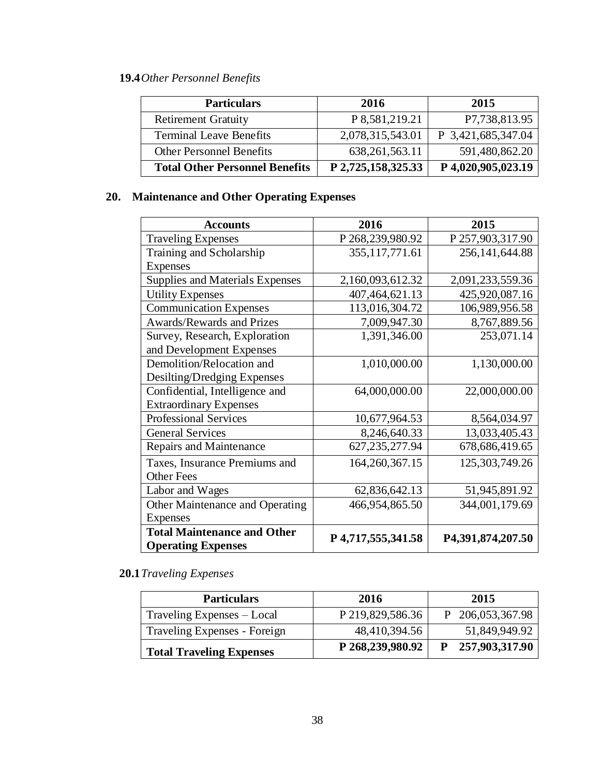# **19.4***Other Personnel Benefits*

| <b>Particulars</b>                    | 2016               | 2015               |
|---------------------------------------|--------------------|--------------------|
| <b>Retirement Gratuity</b>            | P 8,581,219.21     | P7,738,813.95      |
| <b>Terminal Leave Benefits</b>        | 2,078,315,543.01   | P 3,421,685,347.04 |
| <b>Other Personnel Benefits</b>       | 638, 261, 563. 11  | 591,480,862.20     |
| <b>Total Other Personnel Benefits</b> | P 2,725,158,325.33 | P 4,020,905,023.19 |

# **20. Maintenance and Other Operating Expenses**

| <b>Accounts</b>                                                 | 2016               | 2015              |
|-----------------------------------------------------------------|--------------------|-------------------|
| <b>Traveling Expenses</b>                                       | P 268,239,980.92   | P 257,903,317.90  |
| Training and Scholarship                                        | 355, 117, 771.61   | 256,141,644.88    |
| <b>Expenses</b>                                                 |                    |                   |
| <b>Supplies and Materials Expenses</b>                          | 2,160,093,612.32   | 2,091,233,559.36  |
| <b>Utility Expenses</b>                                         | 407,464,621.13     | 425,920,087.16    |
| <b>Communication Expenses</b>                                   | 113,016,304.72     | 106,989,956.58    |
| <b>Awards/Rewards and Prizes</b>                                | 7,009,947.30       | 8,767,889.56      |
| Survey, Research, Exploration                                   | 1,391,346.00       | 253,071.14        |
| and Development Expenses                                        |                    |                   |
| Demolition/Relocation and                                       | 1,010,000.00       | 1,130,000.00      |
| Desilting/Dredging Expenses                                     |                    |                   |
| Confidential, Intelligence and                                  | 64,000,000.00      | 22,000,000.00     |
| <b>Extraordinary Expenses</b>                                   |                    |                   |
| <b>Professional Services</b>                                    | 10,677,964.53      | 8,564,034.97      |
| <b>General Services</b>                                         | 8,246,640.33       | 13,033,405.43     |
| Repairs and Maintenance                                         | 627, 235, 277. 94  | 678, 686, 419. 65 |
| Taxes, Insurance Premiums and                                   | 164, 260, 367. 15  | 125, 303, 749. 26 |
| <b>Other Fees</b>                                               |                    |                   |
| Labor and Wages                                                 | 62,836,642.13      | 51,945,891.92     |
| Other Maintenance and Operating                                 | 466,954,865.50     | 344,001,179.69    |
| <b>Expenses</b>                                                 |                    |                   |
| <b>Total Maintenance and Other</b><br><b>Operating Expenses</b> | P 4,717,555,341.58 | P4,391,874,207.50 |

# **20.1***Traveling Expenses*

| <b>Particulars</b>              | 2016             | 2015             |
|---------------------------------|------------------|------------------|
| Traveling Expenses – Local      | P 219,829,586.36 | P 206,053,367.98 |
| Traveling Expenses - Foreign    | 48,410,394.56    | 51,849,949.92    |
| <b>Total Traveling Expenses</b> | P 268,239,980.92 | P 257,903,317.90 |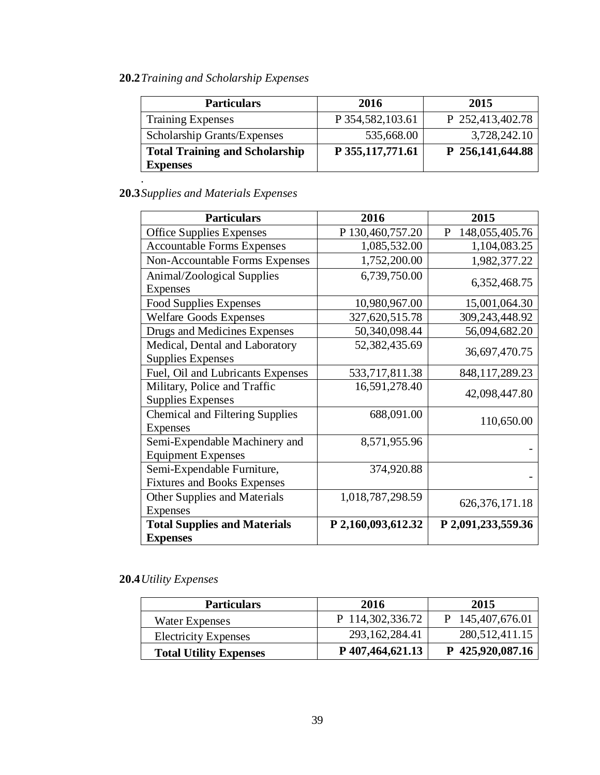# **20.2***Training and Scholarship Expenses*

| P 354,582,103.61 | P 252,413,402.78   |
|------------------|--------------------|
|                  |                    |
| 535,668.00       | 3,728,242.10       |
|                  | P 256,141,644.88   |
|                  | P 355, 117, 771.61 |

# **20.3***Supplies and Materials Expenses*

| <b>Particulars</b>                     | 2016               | 2015                |
|----------------------------------------|--------------------|---------------------|
| <b>Office Supplies Expenses</b>        | P 130,460,757.20   | 148,055,405.76<br>P |
| <b>Accountable Forms Expenses</b>      | 1,085,532.00       | 1,104,083.25        |
| <b>Non-Accountable Forms Expenses</b>  | 1,752,200.00       | 1,982,377.22        |
| Animal/Zoological Supplies             | 6,739,750.00       | 6,352,468.75        |
| <b>Expenses</b>                        |                    |                     |
| <b>Food Supplies Expenses</b>          | 10,980,967.00      | 15,001,064.30       |
| <b>Welfare Goods Expenses</b>          | 327,620,515.78     | 309,243,448.92      |
| Drugs and Medicines Expenses           | 50,340,098.44      | 56,094,682.20       |
| Medical, Dental and Laboratory         | 52,382,435.69      | 36,697,470.75       |
| <b>Supplies Expenses</b>               |                    |                     |
| Fuel, Oil and Lubricants Expenses      | 533,717,811.38     | 848, 117, 289. 23   |
| Military, Police and Traffic           | 16,591,278.40      | 42,098,447.80       |
| <b>Supplies Expenses</b>               |                    |                     |
| <b>Chemical and Filtering Supplies</b> | 688,091.00         | 110,650.00          |
| <b>Expenses</b>                        |                    |                     |
| Semi-Expendable Machinery and          | 8,571,955.96       |                     |
| <b>Equipment Expenses</b>              |                    |                     |
| Semi-Expendable Furniture,             | 374,920.88         |                     |
| <b>Fixtures and Books Expenses</b>     |                    |                     |
| Other Supplies and Materials           | 1,018,787,298.59   | 626, 376, 171. 18   |
| Expenses                               |                    |                     |
| <b>Total Supplies and Materials</b>    | P 2,160,093,612.32 | P 2,091,233,559.36  |
| <b>Expenses</b>                        |                    |                     |

# **20.4***Utility Expenses*

| <b>Particulars</b>            | 2016              | 2015             |
|-------------------------------|-------------------|------------------|
| Water Expenses                | P 114,302,336.72  | P 145,407,676.01 |
| <b>Electricity Expenses</b>   | 293, 162, 284. 41 | 280, 512, 411.15 |
| <b>Total Utility Expenses</b> | P 407,464,621.13  | P 425,920,087.16 |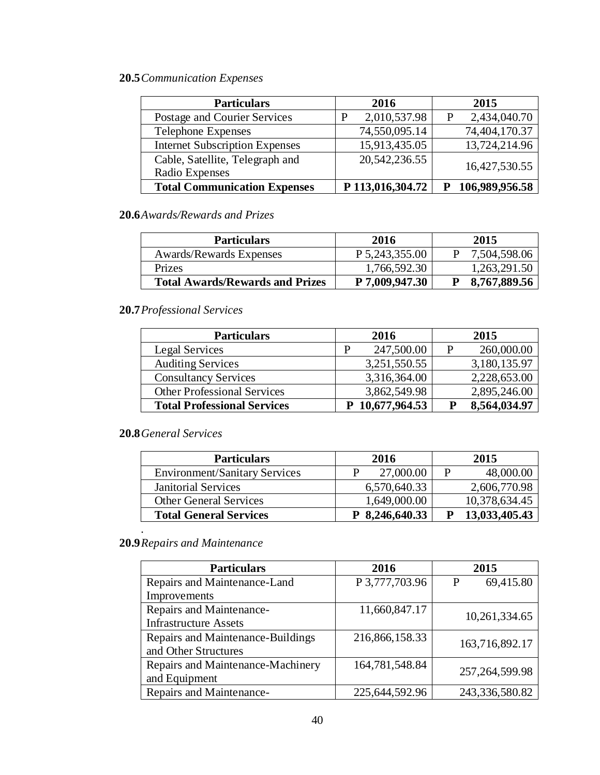# **20.5***Communication Expenses*

| <b>Particulars</b>                                | 2016              | 2015              |
|---------------------------------------------------|-------------------|-------------------|
| Postage and Courier Services                      | 2,010,537.98<br>p | 2,434,040.70<br>P |
| <b>Telephone Expenses</b>                         | 74,550,095.14     | 74,404,170.37     |
| <b>Internet Subscription Expenses</b>             | 15,913,435.05     | 13,724,214.96     |
| Cable, Satellite, Telegraph and<br>Radio Expenses | 20, 542, 236. 55  | 16,427,530.55     |
| <b>Total Communication Expenses</b>               | P 113,016,304.72  | 106,989,956.58    |

# **20.6***Awards/Rewards and Prizes*

| <b>Particulars</b>                     | 2016             | 2015         |
|----------------------------------------|------------------|--------------|
| Awards/Rewards Expenses                | P 5, 243, 355.00 | 7,504,598.06 |
| Prizes                                 | 1,766,592.30     | 1,263,291.50 |
| <b>Total Awards/Rewards and Prizes</b> | P 7,009,947.30   | 8,767,889.56 |

# **20.7***Professional Services*

| <b>Particulars</b>                 |   | 2016            |   | 2015         |
|------------------------------------|---|-----------------|---|--------------|
| Legal Services                     | P | 247,500.00      | P | 260,000.00   |
| <b>Auditing Services</b>           |   | 3,251,550.55    |   | 3,180,135.97 |
| <b>Consultancy Services</b>        |   | 3,316,364.00    |   | 2,228,653.00 |
| <b>Other Professional Services</b> |   | 3,862,549.98    |   | 2,895,246.00 |
| <b>Total Professional Services</b> |   | P 10,677,964.53 |   | 8,564,034.97 |

# **20.8***General Services*

*.*

| <b>Particulars</b>                   | 2016           | 2015          |
|--------------------------------------|----------------|---------------|
| <b>Environment/Sanitary Services</b> | 27,000.00      | 48,000.00     |
| <b>Janitorial Services</b>           | 6,570,640.33   | 2,606,770.98  |
| <b>Other General Services</b>        | 1,649,000.00   | 10,378,634.45 |
| <b>Total General Services</b>        | P 8,246,640.33 | 13,033,405.43 |

# **20.9***Repairs and Maintenance*

| <b>Particulars</b>                | 2016           | 2015              |
|-----------------------------------|----------------|-------------------|
| Repairs and Maintenance-Land      | P 3,777,703.96 | 69,415.80<br>P    |
| Improvements                      |                |                   |
| Repairs and Maintenance-          | 11,660,847.17  | 10,261,334.65     |
| <b>Infrastructure Assets</b>      |                |                   |
| Repairs and Maintenance-Buildings | 216,866,158.33 | 163,716,892.17    |
| and Other Structures              |                |                   |
| Repairs and Maintenance-Machinery | 164,781,548.84 | 257, 264, 599. 98 |
| and Equipment                     |                |                   |
| Repairs and Maintenance-          | 225,644,592.96 | 243,336,580.82    |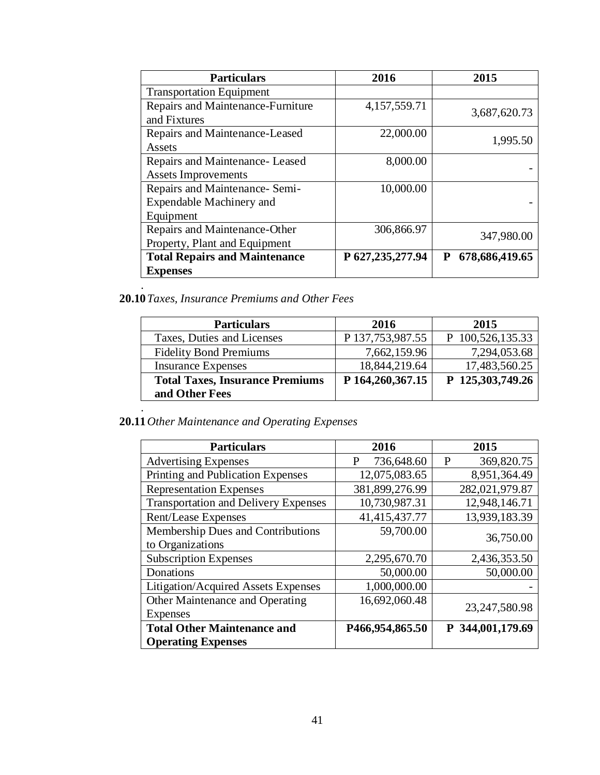| <b>Particulars</b>                   | 2016               | 2015                |
|--------------------------------------|--------------------|---------------------|
| <b>Transportation Equipment</b>      |                    |                     |
| Repairs and Maintenance-Furniture    | 4,157,559.71       | 3,687,620.73        |
| and Fixtures                         |                    |                     |
| Repairs and Maintenance-Leased       | 22,000.00          | 1,995.50            |
| Assets                               |                    |                     |
| Repairs and Maintenance-Leased       | 8,000.00           |                     |
| <b>Assets Improvements</b>           |                    |                     |
| Repairs and Maintenance- Semi-       | 10,000.00          |                     |
| Expendable Machinery and             |                    |                     |
| Equipment                            |                    |                     |
| Repairs and Maintenance-Other        | 306,866.97         |                     |
| Property, Plant and Equipment        |                    | 347,980.00          |
| <b>Total Repairs and Maintenance</b> | P 627, 235, 277.94 | 678,686,419.65<br>P |
| <b>Expenses</b>                      |                    |                     |
|                                      |                    |                     |

**20.10***Taxes, Insurance Premiums and Other Fees*

| <b>Particulars</b>                     | 2016             | 2015             |
|----------------------------------------|------------------|------------------|
| Taxes, Duties and Licenses             | P 137,753,987.55 | P 100,526,135.33 |
| <b>Fidelity Bond Premiums</b>          | 7,662,159.96     | 7,294,053.68     |
| <b>Insurance Expenses</b>              | 18,844,219.64    | 17,483,560.25    |
| <b>Total Taxes, Insurance Premiums</b> | P 164,260,367.15 | P 125,303,749.26 |
| and Other Fees                         |                  |                  |

#### **20.11***Other Maintenance and Operating Expenses*

*.*

| <b>Particulars</b>                          | 2016            | 2015             |
|---------------------------------------------|-----------------|------------------|
| <b>Advertising Expenses</b>                 | 736,648.60<br>P | P<br>369,820.75  |
| Printing and Publication Expenses           | 12,075,083.65   | 8,951,364.49     |
| <b>Representation Expenses</b>              | 381,899,276.99  | 282,021,979.87   |
| <b>Transportation and Delivery Expenses</b> | 10,730,987.31   | 12,948,146.71    |
| Rent/Lease Expenses                         | 41,415,437.77   | 13,939,183.39    |
| Membership Dues and Contributions           | 59,700.00       | 36,750.00        |
| to Organizations                            |                 |                  |
| <b>Subscription Expenses</b>                | 2,295,670.70    | 2,436,353.50     |
| Donations                                   | 50,000.00       | 50,000.00        |
| Litigation/Acquired Assets Expenses         | 1,000,000.00    |                  |
| Other Maintenance and Operating             | 16,692,060.48   | 23, 247, 580. 98 |
| <b>Expenses</b>                             |                 |                  |
| <b>Total Other Maintenance and</b>          | P466,954,865.50 | P 344,001,179.69 |
| <b>Operating Expenses</b>                   |                 |                  |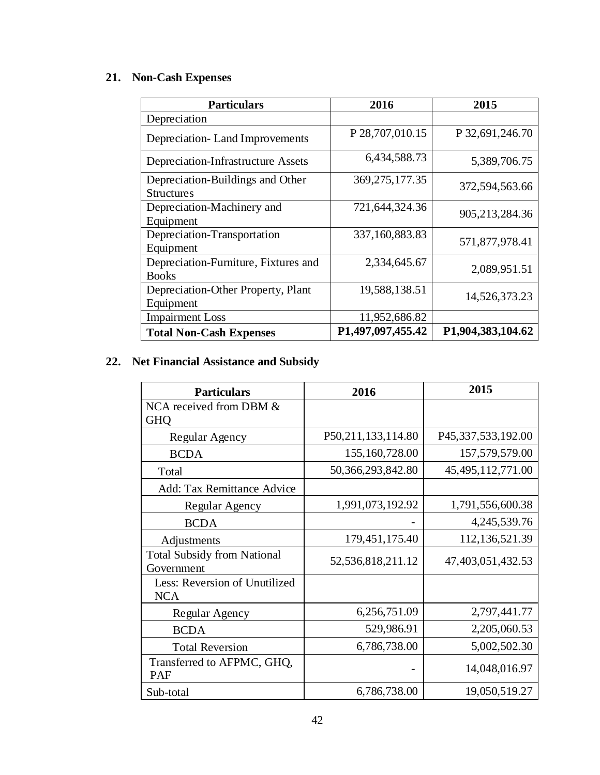# **21. Non-Cash Expenses**

| <b>Particulars</b>                                    | 2016              | 2015              |
|-------------------------------------------------------|-------------------|-------------------|
| Depreciation                                          |                   |                   |
| Depreciation-Land Improvements                        | P 28,707,010.15   | P 32,691,246.70   |
| Depreciation-Infrastructure Assets                    | 6,434,588.73      | 5,389,706.75      |
| Depreciation-Buildings and Other<br><b>Structures</b> | 369, 275, 177. 35 | 372,594,563.66    |
| Depreciation-Machinery and<br>Equipment               | 721,644,324.36    | 905, 213, 284. 36 |
| Depreciation-Transportation<br>Equipment              | 337,160,883.83    | 571,877,978.41    |
| Depreciation-Furniture, Fixtures and<br><b>Books</b>  | 2,334,645.67      | 2,089,951.51      |
| Depreciation-Other Property, Plant<br>Equipment       | 19,588,138.51     | 14,526,373.23     |
| <b>Impairment Loss</b>                                | 11,952,686.82     |                   |
| <b>Total Non-Cash Expenses</b>                        | P1,497,097,455.42 | P1,904,383,104.62 |

# **22. Net Financial Assistance and Subsidy**

| <b>Particulars</b>                               | 2016               | 2015                 |
|--------------------------------------------------|--------------------|----------------------|
| NCA received from DBM &<br><b>GHQ</b>            |                    |                      |
| Regular Agency                                   | P50,211,133,114.80 | P45,337,533,192.00   |
| <b>BCDA</b>                                      | 155,160,728.00     | 157,579,579.00       |
| Total                                            | 50,366,293,842.80  | 45, 495, 112, 771.00 |
| Add: Tax Remittance Advice                       |                    |                      |
| Regular Agency                                   | 1,991,073,192.92   | 1,791,556,600.38     |
| <b>BCDA</b>                                      |                    | 4,245,539.76         |
| Adjustments                                      | 179, 451, 175. 40  | 112,136,521.39       |
| <b>Total Subsidy from National</b><br>Government | 52,536,818,211.12  | 47,403,051,432.53    |
| Less: Reversion of Unutilized<br><b>NCA</b>      |                    |                      |
| Regular Agency                                   | 6,256,751.09       | 2,797,441.77         |
| <b>BCDA</b>                                      | 529,986.91         | 2,205,060.53         |
| <b>Total Reversion</b>                           | 6,786,738.00       | 5,002,502.30         |
| Transferred to AFPMC, GHQ,<br>PAF                |                    | 14,048,016.97        |
| Sub-total                                        | 6,786,738.00       | 19,050,519.27        |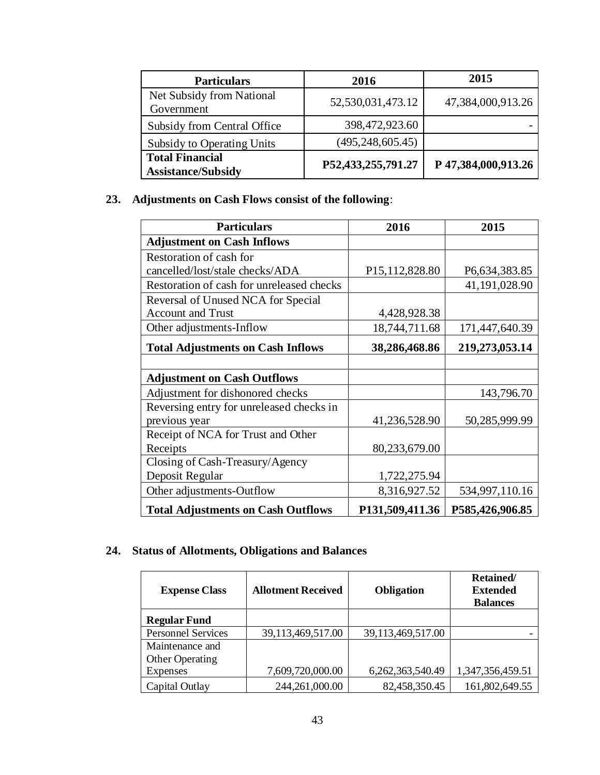| <b>Particulars</b>                                  | 2016               | 2015                |
|-----------------------------------------------------|--------------------|---------------------|
| Net Subsidy from National<br>Government             | 52,530,031,473.12  | 47,384,000,913.26   |
| Subsidy from Central Office                         | 398,472,923.60     |                     |
| Subsidy to Operating Units                          | (495, 248, 605.45) |                     |
| <b>Total Financial</b><br><b>Assistance/Subsidy</b> | P52,433,255,791.27 | P 47,384,000,913.26 |

# **23. Adjustments on Cash Flows consist of the following**:

| <b>Particulars</b>                        | 2016                          | 2015            |
|-------------------------------------------|-------------------------------|-----------------|
| <b>Adjustment on Cash Inflows</b>         |                               |                 |
| Restoration of cash for                   |                               |                 |
| cancelled/lost/stale checks/ADA           | P <sub>15</sub> , 112, 828.80 | P6,634,383.85   |
| Restoration of cash for unreleased checks |                               | 41,191,028.90   |
| Reversal of Unused NCA for Special        |                               |                 |
| <b>Account and Trust</b>                  | 4,428,928.38                  |                 |
| Other adjustments-Inflow                  | 18,744,711.68                 | 171,447,640.39  |
| <b>Total Adjustments on Cash Inflows</b>  | 38,286,468.86                 | 219,273,053.14  |
|                                           |                               |                 |
| <b>Adjustment on Cash Outflows</b>        |                               |                 |
| Adjustment for dishonored checks          |                               | 143,796.70      |
| Reversing entry for unreleased checks in  |                               |                 |
| previous year                             | 41,236,528.90                 | 50,285,999.99   |
| Receipt of NCA for Trust and Other        |                               |                 |
| Receipts                                  | 80,233,679.00                 |                 |
| Closing of Cash-Treasury/Agency           |                               |                 |
| Deposit Regular                           | 1,722,275.94                  |                 |
| Other adjustments-Outflow                 | 8,316,927.52                  | 534,997,110.16  |
| <b>Total Adjustments on Cash Outflows</b> | P131,509,411.36               | P585,426,906.85 |

# **24. Status of Allotments, Obligations and Balances**

| <b>Expense Class</b>      | <b>Allotment Received</b> | Obligation        | Retained/<br><b>Extended</b><br><b>Balances</b> |
|---------------------------|---------------------------|-------------------|-------------------------------------------------|
| <b>Regular Fund</b>       |                           |                   |                                                 |
| <b>Personnel Services</b> | 39,113,469,517.00         | 39,113,469,517.00 |                                                 |
| Maintenance and           |                           |                   |                                                 |
| <b>Other Operating</b>    |                           |                   |                                                 |
| Expenses                  | 7,609,720,000.00          | 6,262,363,540.49  | 1,347,356,459.51                                |
| Capital Outlay            | 244,261,000.00            | 82,458,350.45     | 161,802,649.55                                  |